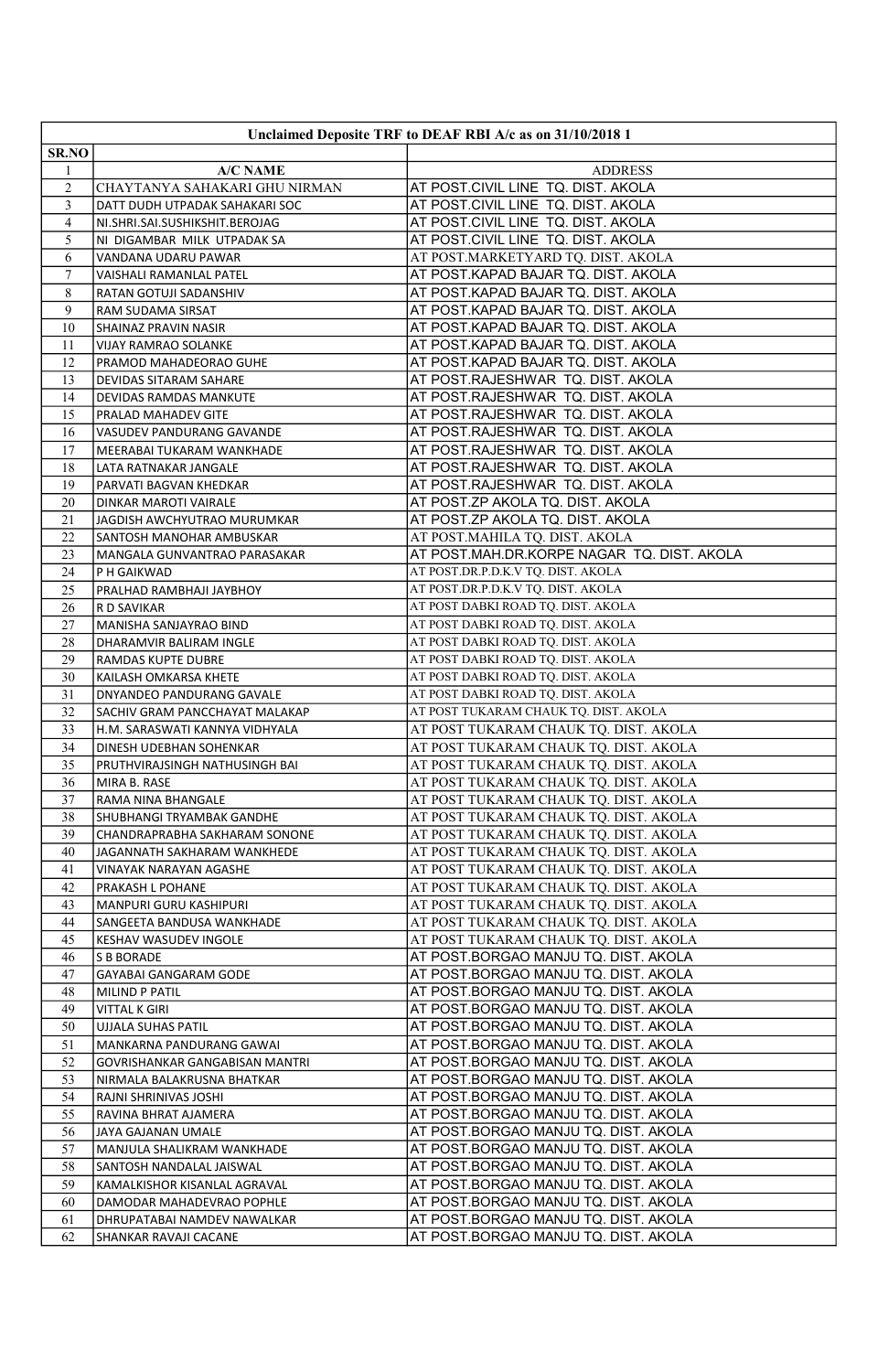|                | Unclaimed Deposite TRF to DEAF RBI A/c as on 31/10/2018 1 |                                                                              |  |
|----------------|-----------------------------------------------------------|------------------------------------------------------------------------------|--|
| SR.NO          |                                                           |                                                                              |  |
| 1              | <b>A/C NAME</b>                                           | <b>ADDRESS</b>                                                               |  |
| $\overline{c}$ | CHAYTANYA SAHAKARI GHU NIRMAN                             | AT POST.CIVIL LINE TQ. DIST. AKOLA                                           |  |
| 3              | DATT DUDH UTPADAK SAHAKARI SOC                            | AT POST.CIVIL LINE TQ. DIST. AKOLA                                           |  |
| $\overline{4}$ | NI.SHRI.SAI.SUSHIKSHIT.BEROJAG                            | AT POST.CIVIL LINE TQ. DIST. AKOLA                                           |  |
| 5              | NI DIGAMBAR MILK UTPADAK SA                               | AT POST.CIVIL LINE TQ. DIST. AKOLA                                           |  |
| 6              | VANDANA UDARU PAWAR                                       | AT POST.MARKETYARD TQ. DIST. AKOLA                                           |  |
| 7              | VAISHALI RAMANLAL PATEL                                   | AT POST.KAPAD BAJAR TQ. DIST. AKOLA                                          |  |
| 8              | RATAN GOTUJI SADANSHIV                                    | AT POST.KAPAD BAJAR TQ. DIST. AKOLA                                          |  |
| 9              | RAM SUDAMA SIRSAT                                         | AT POST.KAPAD BAJAR TQ. DIST. AKOLA                                          |  |
| 10             | SHAINAZ PRAVIN NASIR                                      | AT POST.KAPAD BAJAR TQ. DIST. AKOLA                                          |  |
| 11             | VIJAY RAMRAO SOLANKE                                      | AT POST.KAPAD BAJAR TQ. DIST. AKOLA                                          |  |
| 12             | PRAMOD MAHADEORAO GUHE                                    | AT POST.KAPAD BAJAR TQ. DIST. AKOLA                                          |  |
| 13             | DEVIDAS SITARAM SAHARE                                    | AT POST.RAJESHWAR TQ. DIST. AKOLA                                            |  |
| 14             | DEVIDAS RAMDAS MANKUTE                                    | AT POST.RAJESHWAR TQ. DIST. AKOLA                                            |  |
| 15             | PRALAD MAHADEV GITE                                       | AT POST.RAJESHWAR TQ. DIST. AKOLA                                            |  |
| 16             | VASUDEV PANDURANG GAVANDE                                 | AT POST.RAJESHWAR TQ. DIST. AKOLA                                            |  |
| 17             | MEERABAI TUKARAM WANKHADE                                 | AT POST.RAJESHWAR TQ. DIST. AKOLA                                            |  |
| 18             | LATA RATNAKAR JANGALE                                     | AT POST.RAJESHWAR TQ. DIST. AKOLA                                            |  |
| 19             | PARVATI BAGVAN KHEDKAR                                    | AT POST.RAJESHWAR TQ. DIST. AKOLA                                            |  |
| 20             | DINKAR MAROTI VAIRALE                                     | AT POST.ZP AKOLA TQ. DIST. AKOLA                                             |  |
| 21             | JAGDISH AWCHYUTRAO MURUMKAR                               | AT POST.ZP AKOLA TQ. DIST. AKOLA                                             |  |
| 22<br>23       | SANTOSH MANOHAR AMBUSKAR<br>MANGALA GUNVANTRAO PARASAKAR  | AT POST.MAHILA TQ. DIST. AKOLA<br>AT POST.MAH.DR.KORPE NAGAR TQ. DIST. AKOLA |  |
| 24             | P H GAIKWAD                                               | AT POST.DR.P.D.K.V TQ. DIST. AKOLA                                           |  |
| 25             | PRALHAD RAMBHAJI JAYBHOY                                  | AT POST.DR.P.D.K.V TQ. DIST. AKOLA                                           |  |
| 26             | R D SAVIKAR                                               | AT POST DABKI ROAD TQ. DIST. AKOLA                                           |  |
| 27             | MANISHA SANJAYRAO BIND                                    | AT POST DABKI ROAD TQ. DIST. AKOLA                                           |  |
| 28             | DHARAMVIR BALIRAM INGLE                                   | AT POST DABKI ROAD TQ. DIST. AKOLA                                           |  |
| 29             | RAMDAS KUPTE DUBRE                                        | AT POST DABKI ROAD TQ. DIST. AKOLA                                           |  |
| 30             | KAILASH OMKARSA KHETE                                     | AT POST DABKI ROAD TQ. DIST. AKOLA                                           |  |
| 31             | DNYANDEO PANDURANG GAVALE                                 | AT POST DABKI ROAD TQ. DIST. AKOLA                                           |  |
| 32             | SACHIV GRAM PANCCHAYAT MALAKAP                            | AT POST TUKARAM CHAUK TQ. DIST. AKOLA                                        |  |
| 33             | H.M. SARASWATI KANNYA VIDHYALA                            | AT POST TUKARAM CHAUK TQ. DIST. AKOLA                                        |  |
| 34             | DINESH UDEBHAN SOHENKAR                                   | AT POST TUKARAM CHAUK TQ. DIST. AKOLA                                        |  |
| 35             | PRUTHVIRAJSINGH NATHUSINGH BAI                            | AT POST TUKARAM CHAUK TQ. DIST. AKOLA                                        |  |
| 36             | MIRA B. RASE                                              | AT POST TUKARAM CHAUK TQ. DIST. AKOLA                                        |  |
| 37             | RAMA NINA BHANGALE                                        | AT POST TUKARAM CHAUK TQ. DIST. AKOLA                                        |  |
| 38             | SHUBHANGI TRYAMBAK GANDHE                                 | AT POST TUKARAM CHAUK TQ. DIST. AKOLA                                        |  |
| 39             | CHANDRAPRABHA SAKHARAM SONONE                             | AT POST TUKARAM CHAUK TQ. DIST. AKOLA                                        |  |
| 40             | JAGANNATH SAKHARAM WANKHEDE                               | AT POST TUKARAM CHAUK TQ. DIST. AKOLA                                        |  |
| 41             | VINAYAK NARAYAN AGASHE                                    | AT POST TUKARAM CHAUK TQ. DIST. AKOLA                                        |  |
| 42             | PRAKASH L POHANE                                          | AT POST TUKARAM CHAUK TQ. DIST. AKOLA                                        |  |
| 43             | MANPURI GURU KASHIPURI                                    | AT POST TUKARAM CHAUK TQ. DIST. AKOLA                                        |  |
| 44             | SANGEETA BANDUSA WANKHADE                                 | AT POST TUKARAM CHAUK TQ. DIST. AKOLA                                        |  |
| 45<br>46       | KESHAV WASUDEV INGOLE<br><b>S B BORADE</b>                | AT POST TUKARAM CHAUK TQ. DIST. AKOLA                                        |  |
| 47             | GAYABAI GANGARAM GODE                                     | AT POST.BORGAO MANJU TQ. DIST. AKOLA<br>AT POST.BORGAO MANJU TQ. DIST. AKOLA |  |
| 48             | MILIND P PATIL                                            | AT POST.BORGAO MANJU TQ. DIST. AKOLA                                         |  |
| 49             | <b>VITTAL K GIRI</b>                                      | AT POST.BORGAO MANJU TQ. DIST. AKOLA                                         |  |
| 50             | <b>UJJALA SUHAS PATIL</b>                                 | AT POST.BORGAO MANJU TQ. DIST. AKOLA                                         |  |
| 51             | MANKARNA PANDURANG GAWAI                                  | AT POST.BORGAO MANJU TQ. DIST. AKOLA                                         |  |
| 52             | GOVRISHANKAR GANGABISAN MANTRI                            | AT POST.BORGAO MANJU TQ. DIST. AKOLA                                         |  |
| 53             | NIRMALA BALAKRUSNA BHATKAR                                | AT POST.BORGAO MANJU TQ. DIST. AKOLA                                         |  |
| 54             | RAJNI SHRINIVAS JOSHI                                     | AT POST.BORGAO MANJU TQ. DIST. AKOLA                                         |  |
| 55             | RAVINA BHRAT AJAMERA                                      | AT POST.BORGAO MANJU TQ. DIST. AKOLA                                         |  |
| 56             | JAYA GAJANAN UMALE                                        | AT POST.BORGAO MANJU TQ. DIST. AKOLA                                         |  |
| 57             | MANJULA SHALIKRAM WANKHADE                                | AT POST.BORGAO MANJU TQ. DIST. AKOLA                                         |  |
| 58             | SANTOSH NANDALAL JAISWAL                                  | AT POST.BORGAO MANJU TQ. DIST. AKOLA                                         |  |
| 59             | KAMALKISHOR KISANLAL AGRAVAL                              | AT POST.BORGAO MANJU TQ. DIST. AKOLA                                         |  |
| 60             | DAMODAR MAHADEVRAO POPHLE                                 | AT POST.BORGAO MANJU TQ. DIST. AKOLA                                         |  |
| 61             | DHRUPATABAI NAMDEV NAWALKAR                               | AT POST.BORGAO MANJU TQ. DIST. AKOLA                                         |  |
| 62             | SHANKAR RAVAJI CACANE                                     | AT POST.BORGAO MANJU TQ. DIST. AKOLA                                         |  |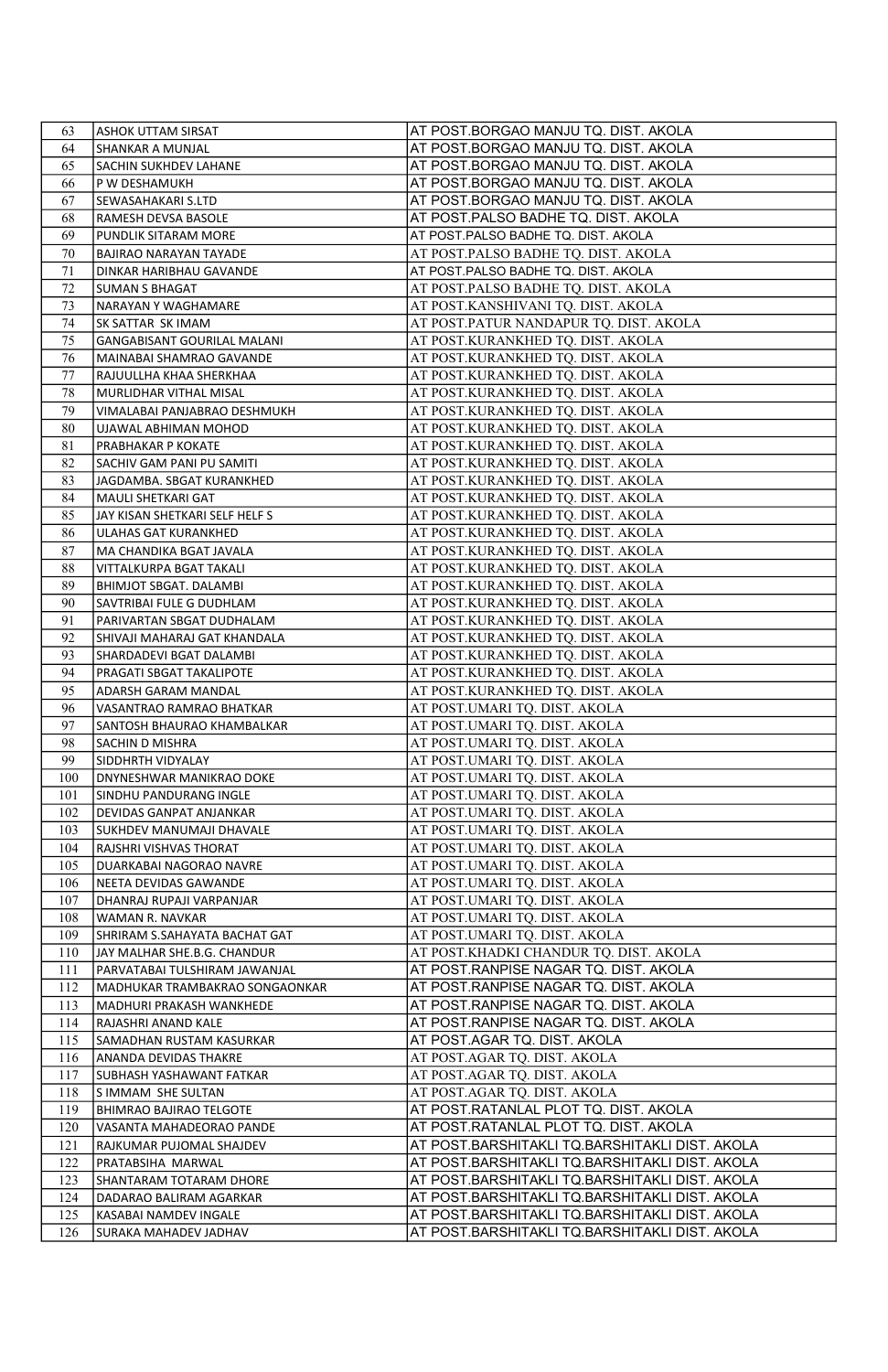| 63         | <b>ASHOK UTTAM SIRSAT</b>                                    | AT POST.BORGAO MANJU TQ. DIST. AKOLA                                            |
|------------|--------------------------------------------------------------|---------------------------------------------------------------------------------|
| 64         | SHANKAR A MUNJAL                                             | AT POST.BORGAO MANJU TQ. DIST. AKOLA                                            |
| 65         | SACHIN SUKHDEV LAHANE                                        | AT POST.BORGAO MANJU TQ. DIST. AKOLA                                            |
| 66         | P W DESHAMUKH                                                | AT POST.BORGAO MANJU TQ. DIST. AKOLA                                            |
| 67         | SEWASAHAKARI S.LTD                                           | AT POST.BORGAO MANJU TQ. DIST. AKOLA                                            |
| 68         | RAMESH DEVSA BASOLE                                          | AT POST.PALSO BADHE TQ. DIST. AKOLA                                             |
| 69         | PUNDLIK SITARAM MORE                                         | AT POST.PALSO BADHE TQ. DIST. AKOLA                                             |
| 70         | BAJIRAO NARAYAN TAYADE                                       | AT POST.PALSO BADHE TQ. DIST. AKOLA                                             |
| 71         | DINKAR HARIBHAU GAVANDE                                      | AT POST.PALSO BADHE TQ. DIST. AKOLA                                             |
| 72         | <b>SUMAN S BHAGAT</b>                                        | AT POST.PALSO BADHE TQ. DIST. AKOLA                                             |
| 73         | NARAYAN Y WAGHAMARE                                          | AT POST.KANSHIVANI TQ. DIST. AKOLA                                              |
| 74         | SK SATTAR SK IMAM                                            | AT POST.PATUR NANDAPUR TQ. DIST. AKOLA                                          |
| 75         | GANGABISANT GOURILAL MALANI                                  | AT POST.KURANKHED TQ. DIST. AKOLA                                               |
| 76         | MAINABAI SHAMRAO GAVANDE                                     | AT POST.KURANKHED TQ. DIST. AKOLA                                               |
| 77         | RAJUULLHA KHAA SHERKHAA                                      | AT POST.KURANKHED TQ. DIST. AKOLA                                               |
| 78         | MURLIDHAR VITHAL MISAL                                       | AT POST.KURANKHED TQ. DIST. AKOLA                                               |
| 79         | VIMALABAI PANJABRAO DESHMUKH                                 | AT POST.KURANKHED TQ. DIST. AKOLA                                               |
| 80         | UJAWAL ABHIMAN MOHOD                                         | AT POST.KURANKHED TQ. DIST. AKOLA                                               |
| 81         | PRABHAKAR P KOKATE                                           | AT POST.KURANKHED TQ. DIST. AKOLA                                               |
| 82         | SACHIV GAM PANI PU SAMITI                                    | AT POST.KURANKHED TQ. DIST. AKOLA                                               |
| 83         | JAGDAMBA. SBGAT KURANKHED                                    | AT POST.KURANKHED TQ. DIST. AKOLA                                               |
| 84         | MAULI SHETKARI GAT                                           | AT POST.KURANKHED TQ. DIST. AKOLA                                               |
| 85         | JAY KISAN SHETKARI SELF HELF S                               | AT POST.KURANKHED TQ. DIST. AKOLA                                               |
| 86         | ULAHAS GAT KURANKHED                                         | AT POST.KURANKHED TQ. DIST. AKOLA                                               |
| 87         | MA CHANDIKA BGAT JAVALA                                      | AT POST.KURANKHED TQ. DIST. AKOLA                                               |
| 88         | VITTALKURPA BGAT TAKALI                                      | AT POST.KURANKHED TQ. DIST. AKOLA                                               |
| 89         | BHIMJOT SBGAT. DALAMBI                                       | AT POST.KURANKHED TQ. DIST. AKOLA                                               |
| 90         | SAVTRIBAI FULE G DUDHLAM                                     | AT POST.KURANKHED TQ. DIST. AKOLA                                               |
| 91         | PARIVARTAN SBGAT DUDHALAM                                    | AT POST.KURANKHED TQ. DIST. AKOLA                                               |
| 92         | SHIVAJI MAHARAJ GAT KHANDALA                                 | AT POST.KURANKHED TQ. DIST. AKOLA                                               |
| 93         | SHARDADEVI BGAT DALAMBI                                      | AT POST.KURANKHED TQ. DIST. AKOLA                                               |
| 94         | PRAGATI SBGAT TAKALIPOTE                                     | AT POST.KURANKHED TQ. DIST. AKOLA                                               |
| 95         | ADARSH GARAM MANDAL                                          | AT POST.KURANKHED TQ. DIST. AKOLA                                               |
| 96         | VASANTRAO RAMRAO BHATKAR                                     | AT POST.UMARI TQ. DIST. AKOLA                                                   |
| 97         | SANTOSH BHAURAO KHAMBALKAR                                   | AT POST.UMARI TQ. DIST. AKOLA                                                   |
| 98         | SACHIN D MISHRA                                              | AT POST.UMARI TQ. DIST. AKOLA                                                   |
| 99         | SIDDHRTH VIDYALAY                                            | AT POST.UMARI TQ. DIST. AKOLA                                                   |
| 100        | DNYNESHWAR MANIKRAO DOKE                                     | AT POST.UMARI TQ. DIST. AKOLA                                                   |
| 101        | SINDHU PANDURANG INGLE                                       | AT POST.UMARI TQ. DIST. AKOLA                                                   |
| 102        | DEVIDAS GANPAT ANJANKAR                                      | AT POST.UMARI TQ. DIST. AKOLA                                                   |
| 103        | SUKHDEV MANUMAJI DHAVALE                                     | AT POST.UMARI TQ. DIST. AKOLA                                                   |
| 104        | RAJSHRI VISHVAS THORAT                                       | AT POST.UMARI TQ. DIST. AKOLA                                                   |
| 105        | DUARKABAI NAGORAO NAVRE                                      | AT POST.UMARI TQ. DIST. AKOLA                                                   |
| 106        | NEETA DEVIDAS GAWANDE                                        | AT POST.UMARI TQ. DIST. AKOLA                                                   |
| 107        | DHANRAJ RUPAJI VARPANJAR                                     | AT POST.UMARI TQ. DIST. AKOLA                                                   |
| 108        | WAMAN R. NAVKAR                                              | AT POST.UMARI TQ. DIST. AKOLA                                                   |
| 109<br>110 | SHRIRAM S.SAHAYATA BACHAT GAT                                | AT POST.UMARI TQ. DIST. AKOLA                                                   |
| 111        | JAY MALHAR SHE.B.G. CHANDUR<br>PARVATABAI TULSHIRAM JAWANJAL | AT POST.KHADKI CHANDUR TQ. DIST. AKOLA<br>AT POST.RANPISE NAGAR TQ. DIST. AKOLA |
| 112        | MADHUKAR TRAMBAKRAO SONGAONKAR                               | AT POST.RANPISE NAGAR TQ. DIST. AKOLA                                           |
| 113        | MADHURI PRAKASH WANKHEDE                                     | AT POST.RANPISE NAGAR TQ. DIST. AKOLA                                           |
| 114        | RAJASHRI ANAND KALE                                          | AT POST.RANPISE NAGAR TQ. DIST. AKOLA                                           |
| 115        | SAMADHAN RUSTAM KASURKAR                                     | AT POST.AGAR TQ. DIST. AKOLA                                                    |
| 116        | ANANDA DEVIDAS THAKRE                                        | AT POST.AGAR TQ. DIST. AKOLA                                                    |
| 117        | SUBHASH YASHAWANT FATKAR                                     | AT POST.AGAR TQ. DIST. AKOLA                                                    |
| 118        | S IMMAM SHE SULTAN                                           | AT POST.AGAR TQ. DIST. AKOLA                                                    |
| 119        | BHIMRAO BAJIRAO TELGOTE                                      | AT POST.RATANLAL PLOT TQ. DIST. AKOLA                                           |
| 120        | VASANTA MAHADEORAO PANDE                                     | AT POST.RATANLAL PLOT TQ. DIST. AKOLA                                           |
| 121        | RAJKUMAR PUJOMAL SHAJDEV                                     | AT POST.BARSHITAKLI TQ.BARSHITAKLI DIST. AKOLA                                  |
| 122        | PRATABSIHA MARWAL                                            | AT POST.BARSHITAKLI TQ.BARSHITAKLI DIST. AKOLA                                  |
| 123        | SHANTARAM TOTARAM DHORE                                      | AT POST.BARSHITAKLI TQ.BARSHITAKLI DIST. AKOLA                                  |
| 124        | DADARAO BALIRAM AGARKAR                                      | AT POST.BARSHITAKLI TQ.BARSHITAKLI DIST. AKOLA                                  |
| 125        | KASABAI NAMDEV INGALE                                        | AT POST.BARSHITAKLI TQ.BARSHITAKLI DIST. AKOLA                                  |
| 126        | SURAKA MAHADEV JADHAV                                        | AT POST.BARSHITAKLI TQ.BARSHITAKLI DIST. AKOLA                                  |
|            |                                                              |                                                                                 |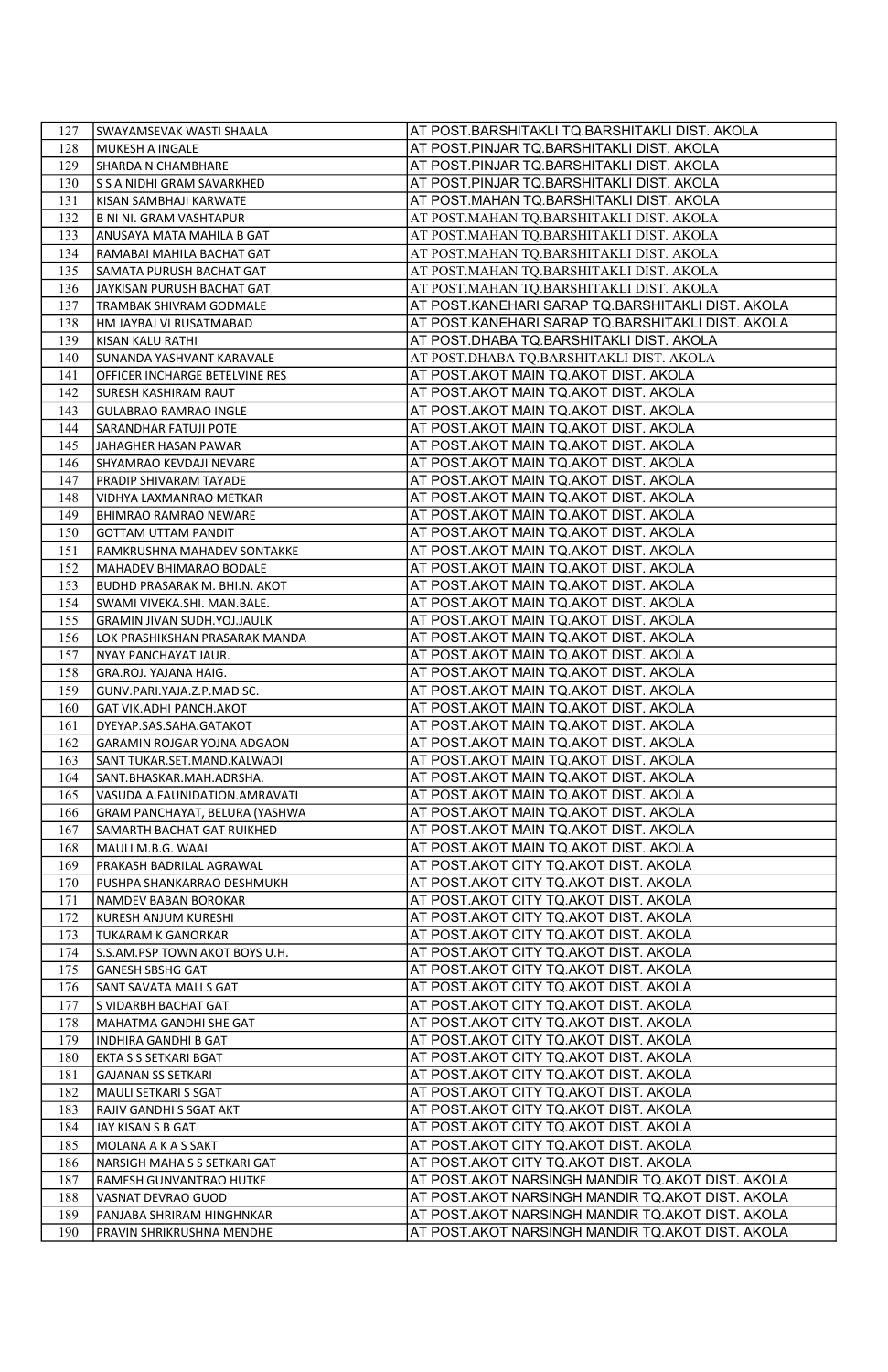| 127        | SWAYAMSEVAK WASTI SHAALA                                      | AT POST.BARSHITAKLI TQ.BARSHITAKLI DIST. AKOLA                                 |
|------------|---------------------------------------------------------------|--------------------------------------------------------------------------------|
| 128        | MUKESH A INGALE                                               | AT POST.PINJAR TQ.BARSHITAKLI DIST. AKOLA                                      |
| 129        | SHARDA N CHAMBHARE                                            | AT POST.PINJAR TQ.BARSHITAKLI DIST. AKOLA                                      |
| 130        | S S A NIDHI GRAM SAVARKHED                                    | AT POST.PINJAR TQ.BARSHITAKLI DIST. AKOLA                                      |
| 131        | KISAN SAMBHAJI KARWATE                                        | AT POST.MAHAN TQ.BARSHITAKLI DIST. AKOLA                                       |
| 132        | <b>B NI NI. GRAM VASHTAPUR</b>                                | AT POST.MAHAN TQ.BARSHITAKLI DIST. AKOLA                                       |
| 133        | ANUSAYA MATA MAHILA B GAT                                     | AT POST.MAHAN TQ.BARSHITAKLI DIST. AKOLA                                       |
| 134        | RAMABAI MAHILA BACHAT GAT                                     | AT POST.MAHAN TQ.BARSHITAKLI DIST. AKOLA                                       |
| 135        | SAMATA PURUSH BACHAT GAT                                      | AT POST.MAHAN TQ.BARSHITAKLI DIST. AKOLA                                       |
| 136        | JAYKISAN PURUSH BACHAT GAT                                    | AT POST.MAHAN TQ.BARSHITAKLI DIST. AKOLA                                       |
| 137        | TRAMBAK SHIVRAM GODMALE                                       | AT POST.KANEHARI SARAP TQ.BARSHITAKLI DIST. AKOLA                              |
| 138        | HM JAYBAJ VI RUSATMABAD                                       | AT POST.KANEHARI SARAP TQ.BARSHITAKLI DIST. AKOLA                              |
| 139        | KISAN KALU RATHI                                              | AT POST.DHABA TQ.BARSHITAKLI DIST. AKOLA                                       |
| 140        | SUNANDA YASHVANT KARAVALE                                     | AT POST.DHABA TQ.BARSHITAKLI DIST. AKOLA                                       |
| 141        | OFFICER INCHARGE BETELVINE RES                                | AT POST.AKOT MAIN TQ.AKOT DIST. AKOLA                                          |
| 142        | SURESH KASHIRAM RAUT                                          | AT POST.AKOT MAIN TQ.AKOT DIST. AKOLA                                          |
| 143        | GULABRAO RAMRAO INGLE                                         | AT POST.AKOT MAIN TQ.AKOT DIST. AKOLA                                          |
| 144        | SARANDHAR FATUJI POTE                                         | AT POST.AKOT MAIN TQ.AKOT DIST. AKOLA                                          |
| 145        | JAHAGHER HASAN PAWAR                                          | AT POST.AKOT MAIN TQ.AKOT DIST. AKOLA                                          |
| 146        | SHYAMRAO KEVDAJI NEVARE                                       | AT POST.AKOT MAIN TQ.AKOT DIST. AKOLA                                          |
| 147        | PRADIP SHIVARAM TAYADE                                        | AT POST.AKOT MAIN TQ.AKOT DIST. AKOLA                                          |
| 148        | VIDHYA LAXMANRAO METKAR                                       | AT POST.AKOT MAIN TQ.AKOT DIST. AKOLA                                          |
| 149        | BHIMRAO RAMRAO NEWARE                                         | AT POST.AKOT MAIN TQ.AKOT DIST. AKOLA                                          |
| 150        | <b>GOTTAM UTTAM PANDIT</b>                                    | AT POST.AKOT MAIN TQ.AKOT DIST. AKOLA                                          |
| 151        | RAMKRUSHNA MAHADEV SONTAKKE                                   | AT POST.AKOT MAIN TQ.AKOT DIST. AKOLA                                          |
| 152        | MAHADEV BHIMARAO BODALE                                       | AT POST.AKOT MAIN TQ.AKOT DIST. AKOLA                                          |
| 153        | BUDHD PRASARAK M. BHI.N. AKOT                                 | AT POST.AKOT MAIN TQ.AKOT DIST. AKOLA                                          |
| 154        | SWAMI VIVEKA.SHI. MAN.BALE.                                   | AT POST.AKOT MAIN TQ.AKOT DIST. AKOLA                                          |
| 155<br>156 | GRAMIN JIVAN SUDH.YOJ.JAULK<br>LOK PRASHIKSHAN PRASARAK MANDA | AT POST.AKOT MAIN TQ.AKOT DIST. AKOLA<br>AT POST.AKOT MAIN TQ.AKOT DIST. AKOLA |
|            | NYAY PANCHAYAT JAUR.                                          | AT POST.AKOT MAIN TQ.AKOT DIST. AKOLA                                          |
| 157<br>158 | GRA.ROJ. YAJANA HAIG.                                         | AT POST.AKOT MAIN TQ.AKOT DIST. AKOLA                                          |
| 159        | GUNV.PARI.YAJA.Z.P.MAD SC.                                    | AT POST.AKOT MAIN TQ.AKOT DIST. AKOLA                                          |
| 160        | GAT VIK.ADHI PANCH.AKOT                                       | AT POST.AKOT MAIN TQ.AKOT DIST. AKOLA                                          |
| 161        | DYEYAP.SAS.SAHA.GATAKOT                                       | AT POST.AKOT MAIN TQ.AKOT DIST. AKOLA                                          |
| 162        | GARAMIN ROJGAR YOJNA ADGAON                                   | AT POST.AKOT MAIN TQ.AKOT DIST. AKOLA                                          |
| 163        | SANT TUKAR.SET.MAND.KALWADI                                   | AT POST.AKOT MAIN TQ.AKOT DIST. AKOLA                                          |
| 164        | SANT.BHASKAR.MAH.ADRSHA.                                      | AT POST.AKOT MAIN TQ.AKOT DIST. AKOLA                                          |
| 165        | VASUDA.A.FAUNIDATION.AMRAVATI                                 | AT POST.AKOT MAIN TQ.AKOT DIST. AKOLA                                          |
| 166        | GRAM PANCHAYAT, BELURA (YASHWA                                | AT POST.AKOT MAIN TQ.AKOT DIST. AKOLA                                          |
| 167        | SAMARTH BACHAT GAT RUIKHED                                    | AT POST.AKOT MAIN TQ.AKOT DIST. AKOLA                                          |
| 168        | MAULI M.B.G. WAAI                                             | AT POST.AKOT MAIN TQ.AKOT DIST. AKOLA                                          |
| 169        | PRAKASH BADRILAL AGRAWAL                                      | AT POST.AKOT CITY TQ.AKOT DIST. AKOLA                                          |
| 170        | PUSHPA SHANKARRAO DESHMUKH                                    | AT POST.AKOT CITY TQ.AKOT DIST. AKOLA                                          |
| 171        | NAMDEV BABAN BOROKAR                                          | AT POST.AKOT CITY TQ.AKOT DIST. AKOLA                                          |
| 172        | KURESH ANJUM KURESHI                                          | AT POST.AKOT CITY TQ.AKOT DIST. AKOLA                                          |
| 173        | TUKARAM K GANORKAR                                            | AT POST.AKOT CITY TQ.AKOT DIST. AKOLA                                          |
| 174        | S.S.AM.PSP TOWN AKOT BOYS U.H.                                | AT POST.AKOT CITY TQ.AKOT DIST. AKOLA                                          |
| 175        | <b>GANESH SBSHG GAT</b>                                       | AT POST.AKOT CITY TQ.AKOT DIST. AKOLA                                          |
| 176        | SANT SAVATA MALI S GAT                                        | AT POST.AKOT CITY TQ.AKOT DIST. AKOLA                                          |
| 177        | S VIDARBH BACHAT GAT                                          | AT POST.AKOT CITY TQ.AKOT DIST. AKOLA                                          |
| 178        | MAHATMA GANDHI SHE GAT                                        | AT POST.AKOT CITY TQ.AKOT DIST. AKOLA                                          |
| 179        | INDHIRA GANDHI B GAT                                          | AT POST.AKOT CITY TQ.AKOT DIST. AKOLA                                          |
| 180        | EKTA S S SETKARI BGAT                                         | AT POST.AKOT CITY TQ.AKOT DIST. AKOLA                                          |
| 181        | <b>GAJANAN SS SETKARI</b>                                     | AT POST.AKOT CITY TQ.AKOT DIST. AKOLA                                          |
| 182        | MAULI SETKARI S SGAT                                          | AT POST.AKOT CITY TQ.AKOT DIST. AKOLA                                          |
| 183        | RAJIV GANDHI S SGAT AKT                                       | AT POST.AKOT CITY TQ.AKOT DIST. AKOLA                                          |
| 184        | JAY KISAN S B GAT                                             | AT POST.AKOT CITY TQ.AKOT DIST. AKOLA                                          |
| 185        | MOLANA A K A S SAKT                                           | AT POST.AKOT CITY TQ.AKOT DIST. AKOLA                                          |
| 186        | NARSIGH MAHA S S SETKARI GAT                                  | AT POST.AKOT CITY TQ.AKOT DIST. AKOLA                                          |
| 187        | RAMESH GUNVANTRAO HUTKE                                       | AT POST.AKOT NARSINGH MANDIR TQ.AKOT DIST. AKOLA                               |
| 188        | VASNAT DEVRAO GUOD                                            | AT POST.AKOT NARSINGH MANDIR TQ.AKOT DIST. AKOLA                               |
| 189        | PANJABA SHRIRAM HINGHNKAR                                     | AT POST.AKOT NARSINGH MANDIR TQ.AKOT DIST. AKOLA                               |
| 190        | PRAVIN SHRIKRUSHNA MENDHE                                     | AT POST.AKOT NARSINGH MANDIR TQ.AKOT DIST. AKOLA                               |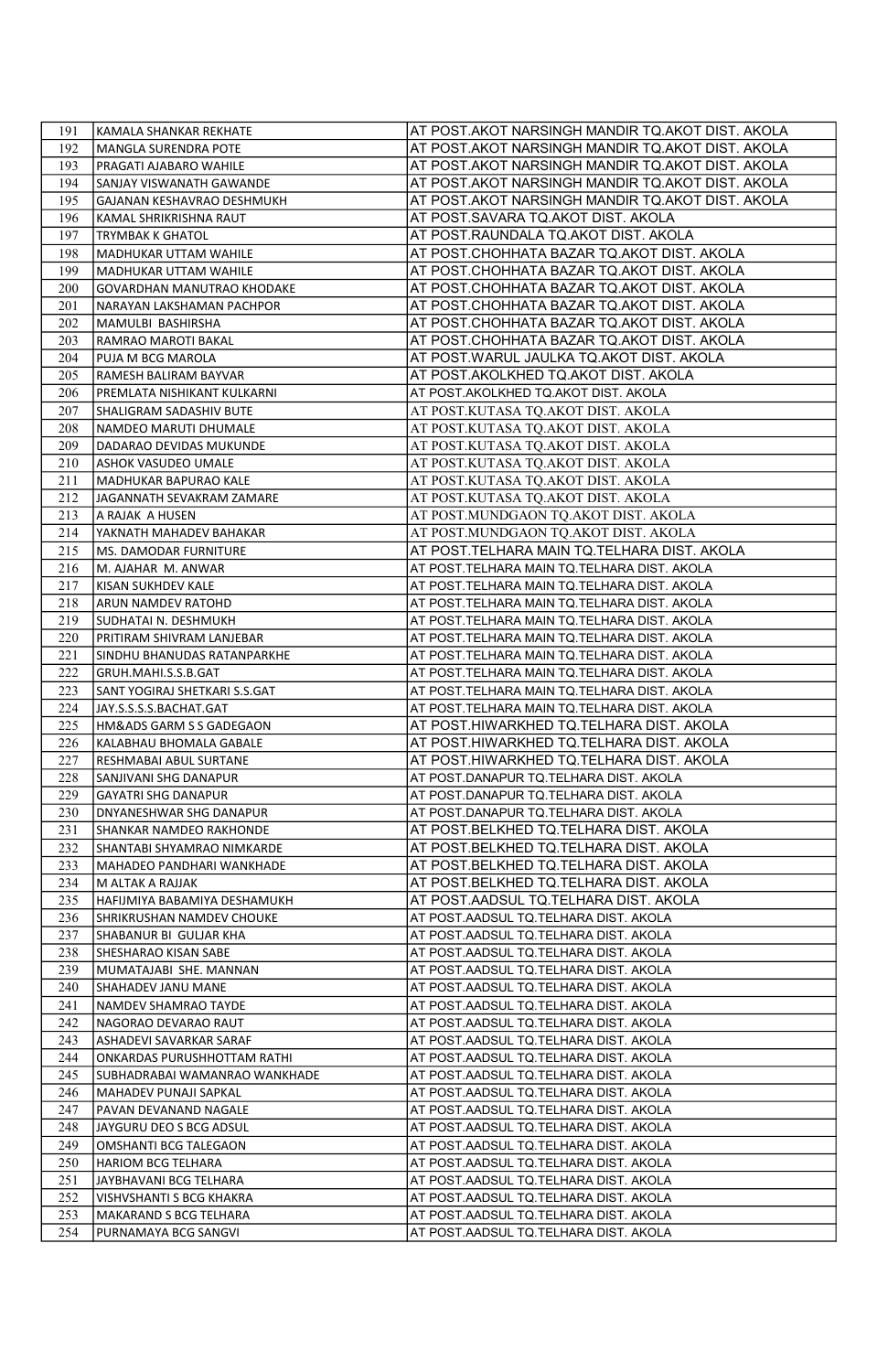| 191        | KAMALA SHANKAR REKHATE                                   | AT POST.AKOT NARSINGH MANDIR TQ.AKOT DIST. AKOLA                                           |
|------------|----------------------------------------------------------|--------------------------------------------------------------------------------------------|
| 192        | MANGLA SURENDRA POTE                                     | AT POST.AKOT NARSINGH MANDIR TQ.AKOT DIST. AKOLA                                           |
| 193        | PRAGATI AJABARO WAHILE                                   | AT POST.AKOT NARSINGH MANDIR TQ.AKOT DIST. AKOLA                                           |
| 194        | SANJAY VISWANATH GAWANDE                                 | AT POST.AKOT NARSINGH MANDIR TQ.AKOT DIST. AKOLA                                           |
| 195        | GAJANAN KESHAVRAO DESHMUKH                               | AT POST.AKOT NARSINGH MANDIR TQ.AKOT DIST. AKOLA                                           |
| 196        | KAMAL SHRIKRISHNA RAUT                                   | AT POST.SAVARA TQ.AKOT DIST. AKOLA                                                         |
| 197        | <b>TRYMBAK K GHATOL</b>                                  | AT POST.RAUNDALA TQ.AKOT DIST. AKOLA                                                       |
| 198        | MADHUKAR UTTAM WAHILE                                    | AT POST.CHOHHATA BAZAR TQ.AKOT DIST. AKOLA                                                 |
| 199        | MADHUKAR UTTAM WAHILE                                    | AT POST.CHOHHATA BAZAR TQ.AKOT DIST. AKOLA                                                 |
| 200        | GOVARDHAN MANUTRAO KHODAKE                               | AT POST.CHOHHATA BAZAR TQ.AKOT DIST. AKOLA                                                 |
| 201        | NARAYAN LAKSHAMAN PACHPOR                                | AT POST.CHOHHATA BAZAR TQ.AKOT DIST. AKOLA                                                 |
| 202        | MAMULBI BASHIRSHA                                        | AT POST.CHOHHATA BAZAR TQ.AKOT DIST. AKOLA                                                 |
| 203        | RAMRAO MAROTI BAKAL                                      | AT POST.CHOHHATA BAZAR TQ.AKOT DIST. AKOLA                                                 |
| 204        | PUJA M BCG MAROLA                                        | AT POST.WARUL JAULKA TQ.AKOT DIST. AKOLA                                                   |
| 205        | RAMESH BALIRAM BAYVAR                                    | AT POST.AKOLKHED TQ.AKOT DIST. AKOLA                                                       |
| 206        | PREMLATA NISHIKANT KULKARNI                              | AT POST.AKOLKHED TQ.AKOT DIST. AKOLA                                                       |
| 207        | SHALIGRAM SADASHIV BUTE                                  | AT POST.KUTASA TQ.AKOT DIST. AKOLA                                                         |
| 208        | NAMDEO MARUTI DHUMALE                                    | AT POST.KUTASA TQ.AKOT DIST. AKOLA                                                         |
| 209        | DADARAO DEVIDAS MUKUNDE                                  | AT POST.KUTASA TQ.AKOT DIST. AKOLA                                                         |
| 210        | ASHOK VASUDEO UMALE                                      | AT POST.KUTASA TQ.AKOT DIST. AKOLA                                                         |
| 211        | MADHUKAR BAPURAO KALE                                    | AT POST.KUTASA TQ.AKOT DIST. AKOLA                                                         |
| 212        | JAGANNATH SEVAKRAM ZAMARE                                | AT POST.KUTASA TQ.AKOT DIST. AKOLA                                                         |
| 213        | A RAJAK A HUSEN                                          | AT POST.MUNDGAON TQ.AKOT DIST. AKOLA                                                       |
| 214        | YAKNATH MAHADEV BAHAKAR                                  | AT POST.MUNDGAON TQ.AKOT DIST. AKOLA                                                       |
| 215        | MS. DAMODAR FURNITURE                                    | AT POST.TELHARA MAIN TQ.TELHARA DIST. AKOLA                                                |
| 216        | M. AJAHAR M. ANWAR                                       | AT POST. TELHARA MAIN TQ. TELHARA DIST. AKOLA                                              |
| 217        | KISAN SUKHDEV KALE                                       | AT POST. TELHARA MAIN TQ. TELHARA DIST. AKOLA                                              |
| 218        | ARUN NAMDEV RATOHD                                       | AT POST.TELHARA MAIN TQ.TELHARA DIST. AKOLA                                                |
| 219        | SUDHATAI N. DESHMUKH                                     | AT POST.TELHARA MAIN TQ.TELHARA DIST. AKOLA                                                |
| 220        | PRITIRAM SHIVRAM LANJEBAR<br>SINDHU BHANUDAS RATANPARKHE | AT POST.TELHARA MAIN TQ.TELHARA DIST. AKOLA                                                |
| 221<br>222 | GRUH.MAHI.S.S.B.GAT                                      | AT POST.TELHARA MAIN TQ.TELHARA DIST. AKOLA<br>AT POST.TELHARA MAIN TQ.TELHARA DIST. AKOLA |
| 223        | SANT YOGIRAJ SHETKARI S.S.GAT                            | AT POST.TELHARA MAIN TQ.TELHARA DIST. AKOLA                                                |
| 224        | JAY.S.S.S.S.BACHAT.GAT                                   | AT POST.TELHARA MAIN TQ.TELHARA DIST. AKOLA                                                |
| 225        | HM&ADS GARM S S GADEGAON                                 | AT POST.HIWARKHED TQ.TELHARA DIST. AKOLA                                                   |
| 226        | KALABHAU BHOMALA GABALE                                  | AT POST.HIWARKHED TQ.TELHARA DIST. AKOLA                                                   |
| 227        | RESHMABAI ABUL SURTANE                                   | AT POST.HIWARKHED TQ.TELHARA DIST. AKOLA                                                   |
| 228        | SANJIVANI SHG DANAPUR                                    | AT POST.DANAPUR TQ.TELHARA DIST. AKOLA                                                     |
| 229        | <b>GAYATRI SHG DANAPUR</b>                               | AT POST.DANAPUR TQ.TELHARA DIST. AKOLA                                                     |
| 230        | DNYANESHWAR SHG DANAPUR                                  | AT POST.DANAPUR TQ.TELHARA DIST. AKOLA                                                     |
| 231        | SHANKAR NAMDEO RAKHONDE                                  | AT POST.BELKHED TQ.TELHARA DIST. AKOLA                                                     |
| 232        | SHANTABI SHYAMRAO NIMKARDE                               | AT POST.BELKHED TQ.TELHARA DIST. AKOLA                                                     |
| 233        | MAHADEO PANDHARI WANKHADE                                | AT POST.BELKHED TQ.TELHARA DIST. AKOLA                                                     |
| 234        | M ALTAK A RAJJAK                                         | AT POST.BELKHED TQ.TELHARA DIST. AKOLA                                                     |
| 235        | HAFIJMIYA BABAMIYA DESHAMUKH                             | AT POST.AADSUL TQ.TELHARA DIST. AKOLA                                                      |
| 236        | SHRIKRUSHAN NAMDEV CHOUKE                                | AT POST.AADSUL TQ.TELHARA DIST. AKOLA                                                      |
| 237        | SHABANUR BI GULJAR KHA                                   | AT POST.AADSUL TQ.TELHARA DIST. AKOLA                                                      |
| 238        | SHESHARAO KISAN SABE                                     | AT POST.AADSUL TQ.TELHARA DIST. AKOLA                                                      |
| 239        | MUMATAJABI SHE. MANNAN                                   | AT POST.AADSUL TQ.TELHARA DIST. AKOLA                                                      |
| 240        | SHAHADEV JANU MANE                                       | AT POST.AADSUL TQ.TELHARA DIST. AKOLA                                                      |
| 241        | NAMDEV SHAMRAO TAYDE                                     | AT POST.AADSUL TQ.TELHARA DIST. AKOLA                                                      |
| 242        | NAGORAO DEVARAO RAUT                                     | AT POST.AADSUL TQ.TELHARA DIST. AKOLA                                                      |
| 243        | ASHADEVI SAVARKAR SARAF                                  | AT POST.AADSUL TQ.TELHARA DIST. AKOLA                                                      |
| 244        | ONKARDAS PURUSHHOTTAM RATHI                              | AT POST.AADSUL TQ.TELHARA DIST. AKOLA                                                      |
| 245        | SUBHADRABAI WAMANRAO WANKHADE                            | AT POST.AADSUL TQ.TELHARA DIST. AKOLA                                                      |
| 246        | MAHADEV PUNAJI SAPKAL                                    | AT POST.AADSUL TQ.TELHARA DIST. AKOLA                                                      |
| 247        | PAVAN DEVANAND NAGALE                                    | AT POST.AADSUL TQ.TELHARA DIST. AKOLA                                                      |
| 248        | JAYGURU DEO S BCG ADSUL                                  | AT POST.AADSUL TQ.TELHARA DIST. AKOLA                                                      |
| 249        | <b>OMSHANTI BCG TALEGAON</b>                             | AT POST.AADSUL TQ.TELHARA DIST. AKOLA                                                      |
| 250        | HARIOM BCG TELHARA                                       | AT POST.AADSUL TQ.TELHARA DIST. AKOLA                                                      |
| 251        | JAYBHAVANI BCG TELHARA                                   | AT POST.AADSUL TQ.TELHARA DIST. AKOLA                                                      |
| 252        | VISHVSHANTI S BCG KHAKRA                                 | AT POST.AADSUL TQ.TELHARA DIST. AKOLA                                                      |
| 253        | MAKARAND S BCG TELHARA                                   | AT POST.AADSUL TQ.TELHARA DIST. AKOLA                                                      |
| 254        | PURNAMAYA BCG SANGVI                                     | AT POST.AADSUL TQ.TELHARA DIST. AKOLA                                                      |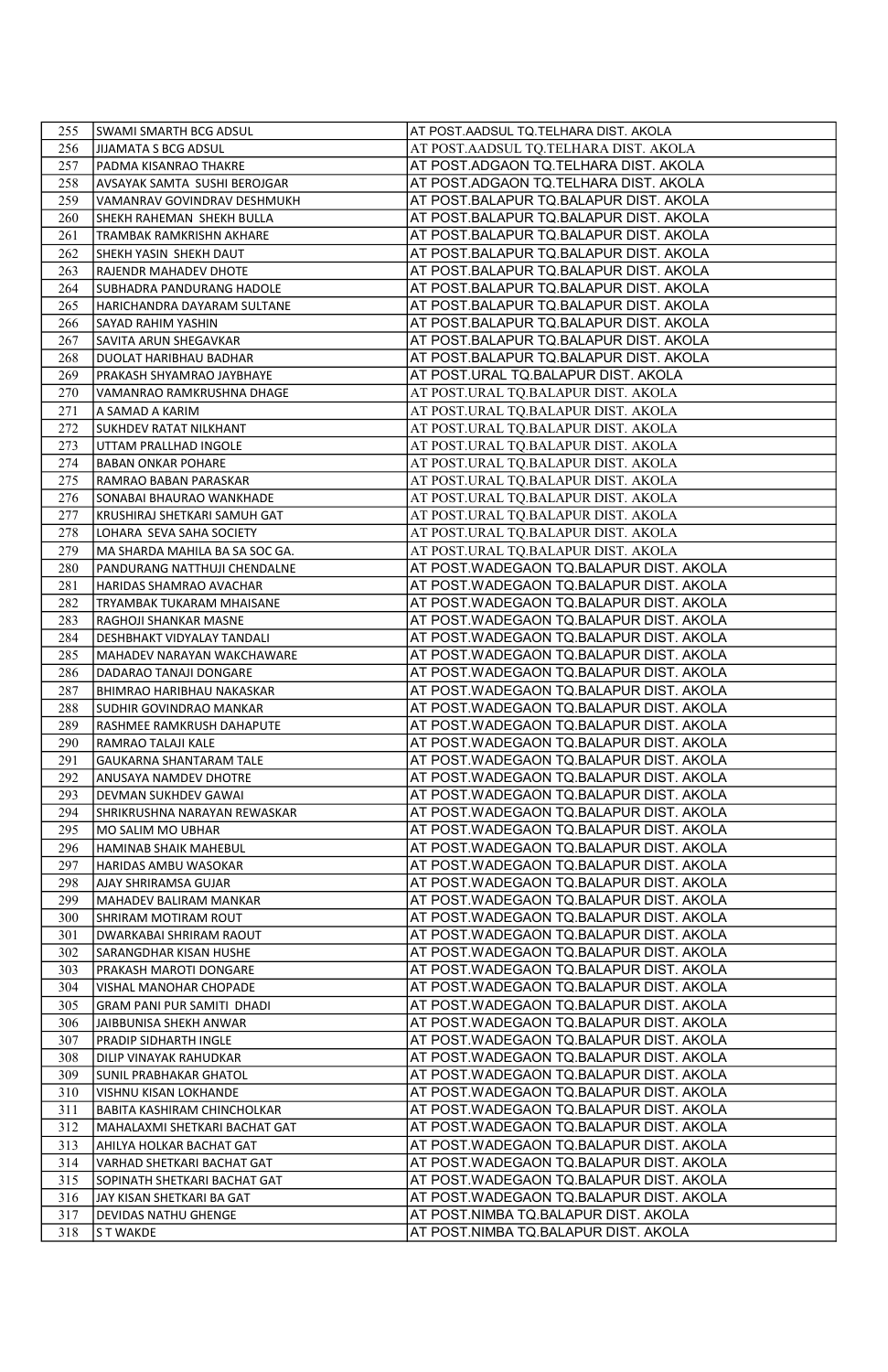| 255        | SWAMI SMARTH BCG ADSUL                        | AT POST.AADSUL TQ.TELHARA DIST. AKOLA                                              |
|------------|-----------------------------------------------|------------------------------------------------------------------------------------|
| 256        | JIJAMATA S BCG ADSUL                          | AT POST.AADSUL TQ.TELHARA DIST. AKOLA                                              |
| 257        | PADMA KISANRAO THAKRE                         | AT POST.ADGAON TQ.TELHARA DIST. AKOLA                                              |
| 258        | AVSAYAK SAMTA SUSHI BEROJGAR                  | AT POST.ADGAON TQ.TELHARA DIST. AKOLA                                              |
| 259        | VAMANRAV GOVINDRAV DESHMUKH                   | AT POST.BALAPUR TQ.BALAPUR DIST. AKOLA                                             |
| 260        | SHEKH RAHEMAN SHEKH BULLA                     | AT POST.BALAPUR TQ.BALAPUR DIST. AKOLA                                             |
| 261        | TRAMBAK RAMKRISHN AKHARE                      | AT POST.BALAPUR TQ.BALAPUR DIST. AKOLA                                             |
| 262        | SHEKH YASIN SHEKH DAUT                        | AT POST.BALAPUR TQ.BALAPUR DIST. AKOLA                                             |
| 263        | RAJENDR MAHADEV DHOTE                         | AT POST.BALAPUR TQ.BALAPUR DIST. AKOLA                                             |
| 264        | SUBHADRA PANDURANG HADOLE                     | AT POST.BALAPUR TQ.BALAPUR DIST. AKOLA                                             |
| 265        | HARICHANDRA DAYARAM SULTANE                   | AT POST.BALAPUR TQ.BALAPUR DIST. AKOLA                                             |
| 266        | SAYAD RAHIM YASHIN                            | AT POST.BALAPUR TQ.BALAPUR DIST. AKOLA                                             |
| 267        | SAVITA ARUN SHEGAVKAR                         | AT POST.BALAPUR TQ.BALAPUR DIST. AKOLA                                             |
| 268        | DUOLAT HARIBHAU BADHAR                        | AT POST.BALAPUR TQ.BALAPUR DIST. AKOLA                                             |
| 269        | PRAKASH SHYAMRAO JAYBHAYE                     | AT POST.URAL TQ.BALAPUR DIST. AKOLA                                                |
| 270        | VAMANRAO RAMKRUSHNA DHAGE                     | AT POST.URAL TQ.BALAPUR DIST. AKOLA                                                |
| 271        | A SAMAD A KARIM                               | AT POST.URAL TQ.BALAPUR DIST. AKOLA                                                |
| 272        | SUKHDEV RATAT NILKHANT                        | AT POST.URAL TQ.BALAPUR DIST. AKOLA                                                |
| 273        | UTTAM PRALLHAD INGOLE                         | AT POST.URAL TQ.BALAPUR DIST. AKOLA                                                |
| 274        | <b>BABAN ONKAR POHARE</b>                     | AT POST.URAL TQ.BALAPUR DIST. AKOLA                                                |
| 275        | RAMRAO BABAN PARASKAR                         | AT POST.URAL TQ.BALAPUR DIST. AKOLA                                                |
| 276        | SONABAI BHAURAO WANKHADE                      | AT POST.URAL TQ.BALAPUR DIST. AKOLA                                                |
| 277        | KRUSHIRAJ SHETKARI SAMUH GAT                  | AT POST.URAL TQ.BALAPUR DIST. AKOLA                                                |
| 278        | LOHARA SEVA SAHA SOCIETY                      | AT POST.URAL TQ.BALAPUR DIST. AKOLA                                                |
| 279        | MA SHARDA MAHILA BA SA SOC GA.                | AT POST.URAL TQ.BALAPUR DIST. AKOLA                                                |
| 280        | PANDURANG NATTHUJI CHENDALNE                  | AT POST.WADEGAON TQ.BALAPUR DIST. AKOLA                                            |
| 281        | HARIDAS SHAMRAO AVACHAR                       | AT POST.WADEGAON TQ.BALAPUR DIST. AKOLA                                            |
| 282        | TRYAMBAK TUKARAM MHAISANE                     | AT POST.WADEGAON TQ.BALAPUR DIST. AKOLA                                            |
| 283        | RAGHOJI SHANKAR MASNE                         | AT POST.WADEGAON TQ.BALAPUR DIST. AKOLA                                            |
| 284        | DESHBHAKT VIDYALAY TANDALI                    | AT POST.WADEGAON TQ.BALAPUR DIST. AKOLA                                            |
| 285        | MAHADEV NARAYAN WAKCHAWARE                    | AT POST.WADEGAON TQ.BALAPUR DIST. AKOLA                                            |
| 286        | DADARAO TANAJI DONGARE                        | AT POST.WADEGAON TQ.BALAPUR DIST. AKOLA                                            |
| 287        | BHIMRAO HARIBHAU NAKASKAR                     | AT POST.WADEGAON TQ.BALAPUR DIST. AKOLA                                            |
| 288        | SUDHIR GOVINDRAO MANKAR                       | AT POST.WADEGAON TQ.BALAPUR DIST. AKOLA                                            |
| 289<br>290 | RASHMEE RAMKRUSH DAHAPUTE                     | AT POST.WADEGAON TQ.BALAPUR DIST. AKOLA<br>AT POST.WADEGAON TQ.BALAPUR DIST. AKOLA |
|            | RAMRAO TALAJI KALE                            | AT POST.WADEGAON TQ.BALAPUR DIST. AKOLA                                            |
| 291<br>292 | GAUKARNA SHANTARAM TALE                       | AT POST.WADEGAON TQ.BALAPUR DIST. AKOLA                                            |
| 293        | ANUSAYA NAMDEV DHOTRE<br>DEVMAN SUKHDEV GAWAI | AT POST.WADEGAON TQ.BALAPUR DIST. AKOLA                                            |
| 294        | SHRIKRUSHNA NARAYAN REWASKAR                  | AT POST.WADEGAON TQ.BALAPUR DIST. AKOLA                                            |
| 295        | MO SALIM MO UBHAR                             | AT POST.WADEGAON TQ.BALAPUR DIST. AKOLA                                            |
| 296        | HAMINAB SHAIK MAHEBUL                         | AT POST.WADEGAON TQ.BALAPUR DIST. AKOLA                                            |
| 297        | HARIDAS AMBU WASOKAR                          | AT POST.WADEGAON TQ.BALAPUR DIST. AKOLA                                            |
| 298        | AJAY SHRIRAMSA GUJAR                          | AT POST.WADEGAON TQ.BALAPUR DIST. AKOLA                                            |
| 299        | MAHADEV BALIRAM MANKAR                        | AT POST.WADEGAON TQ.BALAPUR DIST. AKOLA                                            |
| 300        | SHRIRAM MOTIRAM ROUT                          | AT POST.WADEGAON TQ.BALAPUR DIST. AKOLA                                            |
| 301        | DWARKABAI SHRIRAM RAOUT                       | AT POST.WADEGAON TQ.BALAPUR DIST. AKOLA                                            |
| 302        | SARANGDHAR KISAN HUSHE                        | AT POST.WADEGAON TQ.BALAPUR DIST. AKOLA                                            |
| 303        | PRAKASH MAROTI DONGARE                        | AT POST.WADEGAON TQ.BALAPUR DIST. AKOLA                                            |
| 304        | VISHAL MANOHAR CHOPADE                        | AT POST.WADEGAON TQ.BALAPUR DIST. AKOLA                                            |
| 305        | GRAM PANI PUR SAMITI DHADI                    | AT POST.WADEGAON TQ.BALAPUR DIST. AKOLA                                            |
| 306        | JAIBBUNISA SHEKH ANWAR                        | AT POST.WADEGAON TQ.BALAPUR DIST. AKOLA                                            |
| 307        | PRADIP SIDHARTH INGLE                         | AT POST.WADEGAON TQ.BALAPUR DIST. AKOLA                                            |
| 308        | DILIP VINAYAK RAHUDKAR                        | AT POST.WADEGAON TQ.BALAPUR DIST. AKOLA                                            |
| 309        | SUNIL PRABHAKAR GHATOL                        | AT POST.WADEGAON TQ.BALAPUR DIST. AKOLA                                            |
| 310        | VISHNU KISAN LOKHANDE                         | AT POST.WADEGAON TQ.BALAPUR DIST. AKOLA                                            |
| 311        | BABITA KASHIRAM CHINCHOLKAR                   | AT POST.WADEGAON TQ.BALAPUR DIST. AKOLA                                            |
| 312        | MAHALAXMI SHETKARI BACHAT GAT                 | AT POST.WADEGAON TQ.BALAPUR DIST. AKOLA                                            |
| 313        | AHILYA HOLKAR BACHAT GAT                      | AT POST.WADEGAON TQ.BALAPUR DIST. AKOLA                                            |
| 314        | VARHAD SHETKARI BACHAT GAT                    | AT POST.WADEGAON TQ.BALAPUR DIST. AKOLA                                            |
| 315        | SOPINATH SHETKARI BACHAT GAT                  | AT POST.WADEGAON TQ.BALAPUR DIST. AKOLA                                            |
| 316        | JAY KISAN SHETKARI BA GAT                     | AT POST.WADEGAON TQ.BALAPUR DIST. AKOLA                                            |
| 317        | DEVIDAS NATHU GHENGE                          | AT POST.NIMBA TQ.BALAPUR DIST. AKOLA                                               |
| 318        | <b>STWAKDE</b>                                | AT POST.NIMBA TQ.BALAPUR DIST. AKOLA                                               |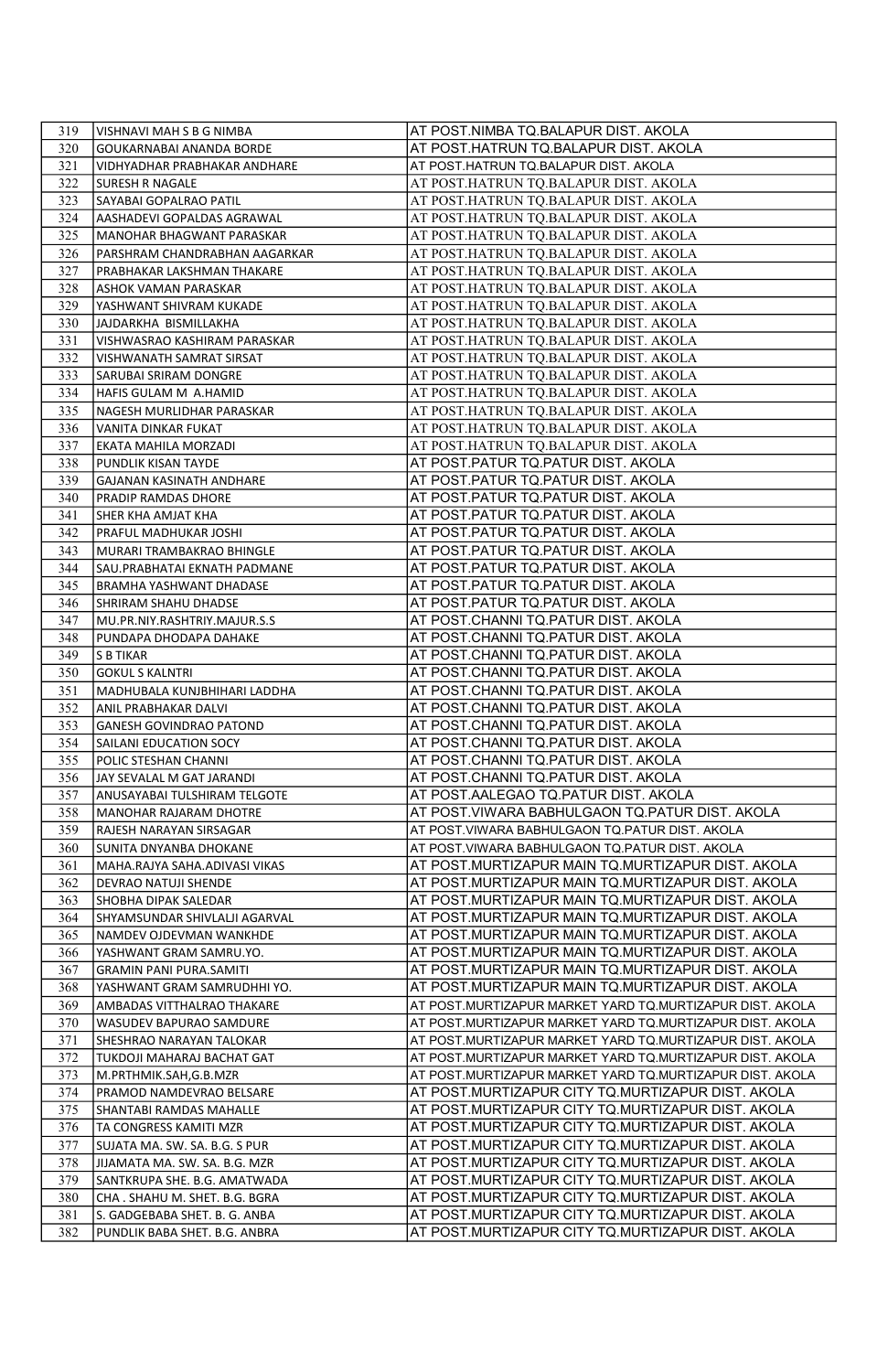| 319        | VISHNAVI MAH S B G NIMBA                          | AT POST.NIMBA TQ.BALAPUR DIST. AKOLA                                                             |
|------------|---------------------------------------------------|--------------------------------------------------------------------------------------------------|
| 320        | GOUKARNABAI ANANDA BORDE                          | AT POST.HATRUN TQ.BALAPUR DIST. AKOLA                                                            |
| 321        | VIDHYADHAR PRABHAKAR ANDHARE                      | AT POST.HATRUN TQ.BALAPUR DIST. AKOLA                                                            |
| 322        | SURESH R NAGALE                                   | AT POST.HATRUN TQ.BALAPUR DIST. AKOLA                                                            |
| 323        | SAYABAI GOPALRAO PATIL                            | AT POST.HATRUN TQ.BALAPUR DIST. AKOLA                                                            |
| 324        | AASHADEVI GOPALDAS AGRAWAL                        | AT POST.HATRUN TQ.BALAPUR DIST. AKOLA                                                            |
| 325        | MANOHAR BHAGWANT PARASKAR                         | AT POST.HATRUN TQ.BALAPUR DIST. AKOLA                                                            |
| 326        | PARSHRAM CHANDRABHAN AAGARKAR                     | AT POST.HATRUN TQ.BALAPUR DIST. AKOLA                                                            |
| 327        | PRABHAKAR LAKSHMAN THAKARE                        | AT POST.HATRUN TQ.BALAPUR DIST. AKOLA                                                            |
| 328        | ASHOK VAMAN PARASKAR                              | AT POST.HATRUN TQ.BALAPUR DIST. AKOLA                                                            |
| 329        | YASHWANT SHIVRAM KUKADE                           | AT POST.HATRUN TQ.BALAPUR DIST. AKOLA                                                            |
| 330        | JAJDARKHA BISMILLAKHA                             | AT POST.HATRUN TQ.BALAPUR DIST. AKOLA                                                            |
| 331        | VISHWASRAO KASHIRAM PARASKAR                      | AT POST.HATRUN TQ.BALAPUR DIST. AKOLA                                                            |
| 332        | VISHWANATH SAMRAT SIRSAT                          | AT POST.HATRUN TQ.BALAPUR DIST. AKOLA                                                            |
| 333        | SARUBAI SRIRAM DONGRE                             | AT POST.HATRUN TQ.BALAPUR DIST. AKOLA                                                            |
| 334        | HAFIS GULAM M A.HAMID                             | AT POST.HATRUN TQ.BALAPUR DIST. AKOLA                                                            |
| 335        | NAGESH MURLIDHAR PARASKAR                         | AT POST.HATRUN TQ.BALAPUR DIST. AKOLA                                                            |
| 336        | VANITA DINKAR FUKAT                               | AT POST.HATRUN TQ.BALAPUR DIST. AKOLA                                                            |
| 337        | EKATA MAHILA MORZADI                              | AT POST.HATRUN TQ.BALAPUR DIST. AKOLA                                                            |
| 338        | PUNDLIK KISAN TAYDE                               | AT POST.PATUR TQ.PATUR DIST. AKOLA                                                               |
| 339        | GAJANAN KASINATH ANDHARE                          | AT POST.PATUR TQ.PATUR DIST. AKOLA                                                               |
| 340        | PRADIP RAMDAS DHORE                               | AT POST.PATUR TQ.PATUR DIST. AKOLA                                                               |
| 341        | SHER KHA AMJAT KHA                                | AT POST.PATUR TQ.PATUR DIST. AKOLA                                                               |
| 342        | PRAFUL MADHUKAR JOSHI                             | AT POST.PATUR TQ.PATUR DIST. AKOLA                                                               |
| 343        | MURARI TRAMBAKRAO BHINGLE                         | AT POST.PATUR TQ.PATUR DIST. AKOLA                                                               |
| 344        | SAU.PRABHATAI EKNATH PADMANE                      | AT POST.PATUR TQ.PATUR DIST. AKOLA                                                               |
| 345        | BRAMHA YASHWANT DHADASE                           | AT POST.PATUR TQ.PATUR DIST. AKOLA                                                               |
| 346        | SHRIRAM SHAHU DHADSE                              | AT POST.PATUR TQ.PATUR DIST. AKOLA                                                               |
| 347        | MU.PR.NIY.RASHTRIY.MAJUR.S.S                      | AT POST.CHANNI TQ.PATUR DIST. AKOLA                                                              |
| 348        | PUNDAPA DHODAPA DAHAKE                            | AT POST.CHANNI TQ.PATUR DIST. AKOLA                                                              |
| 349        | <b>S B TIKAR</b>                                  | AT POST.CHANNI TQ.PATUR DIST. AKOLA                                                              |
| 350        | <b>GOKUL S KALNTRI</b>                            | AT POST.CHANNI TQ.PATUR DIST. AKOLA                                                              |
| 351        | MADHUBALA KUNJBHIHARI LADDHA                      | AT POST.CHANNI TQ.PATUR DIST. AKOLA                                                              |
| 352        | ANIL PRABHAKAR DALVI                              | AT POST.CHANNI TQ.PATUR DIST. AKOLA                                                              |
| 353        | GANESH GOVINDRAO PATOND                           | AT POST.CHANNI TQ.PATUR DIST. AKOLA                                                              |
| 354        | SAILANI EDUCATION SOCY                            | AT POST.CHANNI TQ.PATUR DIST. AKOLA                                                              |
| 355        | POLIC STESHAN CHANNI                              | AT POST.CHANNI TQ.PATUR DIST. AKOLA                                                              |
| 356        | JAY SEVALAL M GAT JARANDI                         | AT POST.CHANNI TQ.PATUR DIST. AKOLA                                                              |
| 357        | ANUSAYABAI TULSHIRAM TELGOTE                      | AT POST.AALEGAO TQ.PATUR DIST. AKOLA                                                             |
| 358<br>359 | MANOHAR RAJARAM DHOTRE<br>RAJESH NARAYAN SIRSAGAR | AT POST.VIWARA BABHULGAON TQ.PATUR DIST. AKOLA<br>AT POST.VIWARA BABHULGAON TQ.PATUR DIST. AKOLA |
| 360        | SUNITA DNYANBA DHOKANE                            | AT POST.VIWARA BABHULGAON TQ.PATUR DIST. AKOLA                                                   |
| 361        | MAHA.RAJYA SAHA.ADIVASI VIKAS                     | AT POST.MURTIZAPUR MAIN TQ.MURTIZAPUR DIST. AKOLA                                                |
| 362        |                                                   | AT POST.MURTIZAPUR MAIN TQ.MURTIZAPUR DIST. AKOLA                                                |
| 363        | DEVRAO NATUJI SHENDE<br>SHOBHA DIPAK SALEDAR      | AT POST.MURTIZAPUR MAIN TQ.MURTIZAPUR DIST. AKOLA                                                |
| 364        | SHYAMSUNDAR SHIVLALJI AGARVAL                     | AT POST.MURTIZAPUR MAIN TQ.MURTIZAPUR DIST. AKOLA                                                |
| 365        | NAMDEV OJDEVMAN WANKHDE                           | AT POST.MURTIZAPUR MAIN TQ.MURTIZAPUR DIST. AKOLA                                                |
| 366        | YASHWANT GRAM SAMRU.YO.                           | AT POST.MURTIZAPUR MAIN TQ.MURTIZAPUR DIST. AKOLA                                                |
| 367        | <b>GRAMIN PANI PURA.SAMITI</b>                    | AT POST.MURTIZAPUR MAIN TQ.MURTIZAPUR DIST. AKOLA                                                |
| 368        | YASHWANT GRAM SAMRUDHHI YO.                       | AT POST.MURTIZAPUR MAIN TQ.MURTIZAPUR DIST. AKOLA                                                |
| 369        | AMBADAS VITTHALRAO THAKARE                        | AT POST.MURTIZAPUR MARKET YARD TQ.MURTIZAPUR DIST. AKOLA                                         |
| 370        | WASUDEV BAPURAO SAMDURE                           | AT POST.MURTIZAPUR MARKET YARD TQ.MURTIZAPUR DIST. AKOLA                                         |
| 371        | SHESHRAO NARAYAN TALOKAR                          | AT POST.MURTIZAPUR MARKET YARD TQ.MURTIZAPUR DIST. AKOLA                                         |
| 372        | TUKDOJI MAHARAJ BACHAT GAT                        | AT POST.MURTIZAPUR MARKET YARD TQ.MURTIZAPUR DIST. AKOLA                                         |
| 373        | M.PRTHMIK.SAH,G.B.MZR                             | AT POST.MURTIZAPUR MARKET YARD TQ.MURTIZAPUR DIST. AKOLA                                         |
| 374        | PRAMOD NAMDEVRAO BELSARE                          | AT POST.MURTIZAPUR CITY TQ.MURTIZAPUR DIST. AKOLA                                                |
| 375        | SHANTABI RAMDAS MAHALLE                           | AT POST.MURTIZAPUR CITY TQ.MURTIZAPUR DIST. AKOLA                                                |
| 376        | TA CONGRESS KAMITI MZR                            | AT POST.MURTIZAPUR CITY TQ.MURTIZAPUR DIST. AKOLA                                                |
| 377        | SUJATA MA. SW. SA. B.G. S PUR                     | AT POST.MURTIZAPUR CITY TQ.MURTIZAPUR DIST. AKOLA                                                |
| 378        | JIJAMATA MA. SW. SA. B.G. MZR                     | AT POST.MURTIZAPUR CITY TQ.MURTIZAPUR DIST. AKOLA                                                |
| 379        | SANTKRUPA SHE. B.G. AMATWADA                      | AT POST.MURTIZAPUR CITY TQ.MURTIZAPUR DIST. AKOLA                                                |
| 380        | CHA. SHAHU M. SHET. B.G. BGRA                     | AT POST.MURTIZAPUR CITY TQ.MURTIZAPUR DIST. AKOLA                                                |
| 381        | S. GADGEBABA SHET. B. G. ANBA                     | AT POST.MURTIZAPUR CITY TQ.MURTIZAPUR DIST. AKOLA                                                |
| 382        | PUNDLIK BABA SHET. B.G. ANBRA                     | AT POST.MURTIZAPUR CITY TQ.MURTIZAPUR DIST. AKOLA                                                |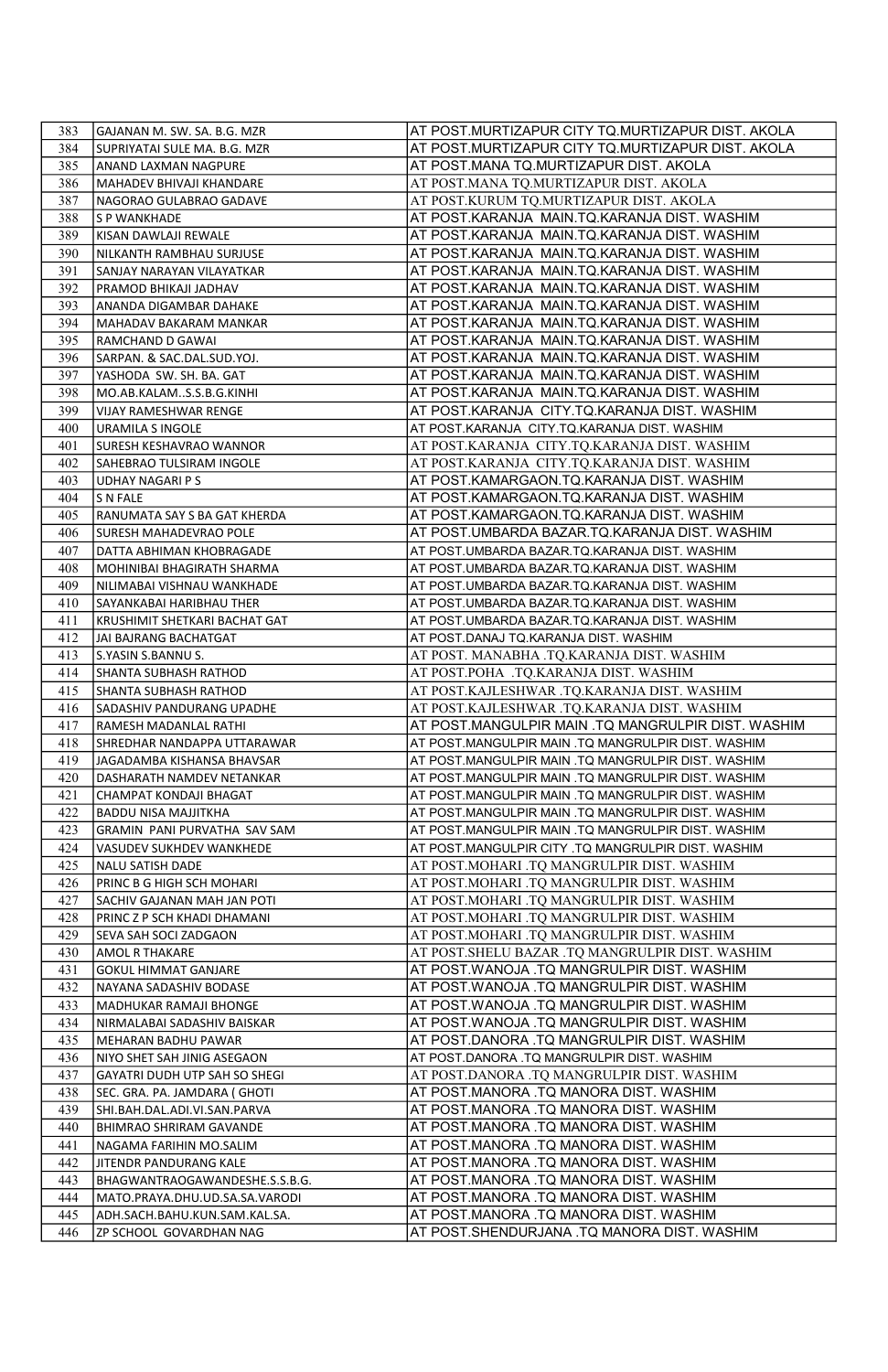| 383        | GAJANAN M. SW. SA. B.G. MZR                                    | AT POST.MURTIZAPUR CITY TQ.MURTIZAPUR DIST. AKOLA                                              |
|------------|----------------------------------------------------------------|------------------------------------------------------------------------------------------------|
| 384        | SUPRIYATAI SULE MA. B.G. MZR                                   | AT POST.MURTIZAPUR CITY TQ.MURTIZAPUR DIST. AKOLA                                              |
| 385        | ANAND LAXMAN NAGPURE                                           | AT POST.MANA TQ.MURTIZAPUR DIST. AKOLA                                                         |
| 386        | MAHADEV BHIVAJI KHANDARE                                       | AT POST.MANA TQ.MURTIZAPUR DIST. AKOLA                                                         |
| 387        | NAGORAO GULABRAO GADAVE                                        | AT POST.KURUM TQ.MURTIZAPUR DIST. AKOLA                                                        |
| 388        | S P WANKHADE                                                   | AT POST.KARANJA MAIN.TQ.KARANJA DIST. WASHIM                                                   |
| 389        | KISAN DAWLAJI REWALE                                           | AT POST.KARANJA MAIN.TQ.KARANJA DIST. WASHIM                                                   |
| 390        | NILKANTH RAMBHAU SURJUSE                                       | AT POST.KARANJA MAIN.TQ.KARANJA DIST. WASHIM                                                   |
| 391        | SANJAY NARAYAN VILAYATKAR                                      | AT POST.KARANJA MAIN.TQ.KARANJA DIST. WASHIM                                                   |
| 392        | PRAMOD BHIKAJI JADHAV                                          | AT POST.KARANJA MAIN.TQ.KARANJA DIST. WASHIM                                                   |
| 393        | ANANDA DIGAMBAR DAHAKE                                         | AT POST.KARANJA MAIN.TQ.KARANJA DIST. WASHIM                                                   |
| 394        | MAHADAV BAKARAM MANKAR                                         | AT POST.KARANJA MAIN.TQ.KARANJA DIST. WASHIM                                                   |
| 395        | RAMCHAND D GAWAI                                               | AT POST.KARANJA MAIN.TQ.KARANJA DIST. WASHIM                                                   |
| 396        | SARPAN. & SAC.DAL.SUD.YOJ.                                     | AT POST.KARANJA MAIN.TQ.KARANJA DIST. WASHIM                                                   |
| 397        | YASHODA SW. SH. BA. GAT                                        | AT POST.KARANJA MAIN.TQ.KARANJA DIST. WASHIM                                                   |
| 398        | MO.AB.KALAMS.S.B.G.KINHI                                       | AT POST.KARANJA MAIN.TQ.KARANJA DIST. WASHIM                                                   |
| 399        | VIJAY RAMESHWAR RENGE                                          | AT POST.KARANJA CITY.TQ.KARANJA DIST. WASHIM                                                   |
| 400        | <b>URAMILA S INGOLE</b>                                        | AT POST.KARANJA CITY.TQ.KARANJA DIST. WASHIM                                                   |
| 401        | SURESH KESHAVRAO WANNOR                                        | AT POST.KARANJA CITY.TQ.KARANJA DIST. WASHIM                                                   |
| 402        | SAHEBRAO TULSIRAM INGOLE                                       | AT POST.KARANJA CITY.TQ.KARANJA DIST. WASHIM                                                   |
| 403        | <b>UDHAY NAGARI PS</b>                                         | AT POST.KAMARGAON.TQ.KARANJA DIST. WASHIM                                                      |
| 404        | S N FALE                                                       | AT POST.KAMARGAON.TQ.KARANJA DIST. WASHIM                                                      |
| 405        | RANUMATA SAY S BA GAT KHERDA                                   | AT POST.KAMARGAON.TQ.KARANJA DIST. WASHIM                                                      |
| 406<br>407 | SURESH MAHADEVRAO POLE                                         | AT POST.UMBARDA BAZAR.TQ.KARANJA DIST. WASHIM<br>AT POST.UMBARDA BAZAR.TQ.KARANJA DIST. WASHIM |
| 408        | DATTA ABHIMAN KHOBRAGADE<br>MOHINIBAI BHAGIRATH SHARMA         | AT POST.UMBARDA BAZAR.TQ.KARANJA DIST. WASHIM                                                  |
| 409        | NILIMABAI VISHNAU WANKHADE                                     | AT POST.UMBARDA BAZAR.TQ.KARANJA DIST. WASHIM                                                  |
| 410        | SAYANKABAI HARIBHAU THER                                       | AT POST.UMBARDA BAZAR.TQ.KARANJA DIST. WASHIM                                                  |
| 411        | KRUSHIMIT SHETKARI BACHAT GAT                                  | AT POST.UMBARDA BAZAR.TQ.KARANJA DIST. WASHIM                                                  |
| 412        | JAI BAJRANG BACHATGAT                                          | AT POST.DANAJ TQ.KARANJA DIST. WASHIM                                                          |
| 413        | S.YASIN S.BANNU S.                                             | AT POST. MANABHA .TQ.KARANJA DIST. WASHIM                                                      |
| 414        | SHANTA SUBHASH RATHOD                                          | AT POST.POHA .TQ.KARANJA DIST. WASHIM                                                          |
| 415        | SHANTA SUBHASH RATHOD                                          | AT POST.KAJLESHWAR .TQ.KARANJA DIST. WASHIM                                                    |
| 416        | SADASHIV PANDURANG UPADHE                                      | AT POST.KAJLESHWAR .TO.KARANJA DIST. WASHIM                                                    |
| 417        | RAMESH MADANLAL RATHI                                          | AT POST.MANGULPIR MAIN .TQ MANGRULPIR DIST. WASHIM                                             |
| 418        | SHREDHAR NANDAPPA UTTARAWAR                                    | AT POST.MANGULPIR MAIN .TQ MANGRULPIR DIST. WASHIM                                             |
| 419        | JAGADAMBA KISHANSA BHAVSAR                                     | AT POST.MANGULPIR MAIN .TQ MANGRULPIR DIST. WASHIM                                             |
| 420        | DASHARATH NAMDEV NETANKAR                                      | AT POST.MANGULPIR MAIN .TQ MANGRULPIR DIST. WASHIM                                             |
| 421        | CHAMPAT KONDAJI BHAGAT                                         | AT POST.MANGULPIR MAIN .TQ MANGRULPIR DIST. WASHIM                                             |
| 422        | <b>BADDU NISA MAJJITKHA</b>                                    | AT POST.MANGULPIR MAIN .TQ MANGRULPIR DIST. WASHIM                                             |
| 423        | GRAMIN PANI PURVATHA SAV SAM                                   | AT POST.MANGULPIR MAIN .TQ MANGRULPIR DIST. WASHIM                                             |
| 424        | VASUDEV SUKHDEV WANKHEDE                                       | AT POST.MANGULPIR CITY .TQ MANGRULPIR DIST. WASHIM                                             |
| 425        | <b>NALU SATISH DADE</b>                                        | AT POST.MOHARI .TQ MANGRULPIR DIST. WASHIM                                                     |
| 426        | PRINC B G HIGH SCH MOHARI                                      | AT POST.MOHARI .TQ MANGRULPIR DIST. WASHIM                                                     |
| 427        | SACHIV GAJANAN MAH JAN POTI                                    | AT POST.MOHARI .TQ MANGRULPIR DIST. WASHIM                                                     |
| 428        | PRINC Z P SCH KHADI DHAMANI                                    | AT POST.MOHARI .TQ MANGRULPIR DIST. WASHIM                                                     |
| 429        | SEVA SAH SOCI ZADGAON                                          | AT POST.MOHARI .TQ MANGRULPIR DIST. WASHIM                                                     |
| 430        | <b>AMOL R THAKARE</b>                                          | AT POST.SHELU BAZAR .TQ MANGRULPIR DIST. WASHIM                                                |
| 431        | <b>GOKUL HIMMAT GANJARE</b>                                    | AT POST.WANOJA .TQ MANGRULPIR DIST. WASHIM                                                     |
| 432        | NAYANA SADASHIV BODASE                                         | AT POST.WANOJA .TQ MANGRULPIR DIST. WASHIM                                                     |
| 433        | MADHUKAR RAMAJI BHONGE                                         | AT POST.WANOJA .TQ MANGRULPIR DIST. WASHIM                                                     |
| 434        | NIRMALABAI SADASHIV BAISKAR                                    | AT POST.WANOJA .TQ MANGRULPIR DIST. WASHIM                                                     |
| 435        | MEHARAN BADHU PAWAR                                            | AT POST.DANORA .TQ MANGRULPIR DIST. WASHIM                                                     |
| 436        | NIYO SHET SAH JINIG ASEGAON                                    | AT POST.DANORA .TQ MANGRULPIR DIST. WASHIM                                                     |
| 437<br>438 | GAYATRI DUDH UTP SAH SO SHEGI<br>SEC. GRA. PA. JAMDARA ( GHOTI | AT POST.DANORA .TQ MANGRULPIR DIST. WASHIM<br>AT POST.MANORA .TQ MANORA DIST. WASHIM           |
| 439        | SHI.BAH.DAL.ADI.VI.SAN.PARVA                                   | AT POST.MANORA .TQ MANORA DIST. WASHIM                                                         |
| 440        | BHIMRAO SHRIRAM GAVANDE                                        | AT POST.MANORA .TQ MANORA DIST. WASHIM                                                         |
| 441        | NAGAMA FARIHIN MO.SALIM                                        | AT POST.MANORA .TQ MANORA DIST. WASHIM                                                         |
| 442        | JITENDR PANDURANG KALE                                         | AT POST.MANORA .TQ MANORA DIST. WASHIM                                                         |
| 443        | BHAGWANTRAOGAWANDESHE.S.S.B.G.                                 | AT POST.MANORA .TQ MANORA DIST. WASHIM                                                         |
| 444        | MATO.PRAYA.DHU.UD.SA.SA.VARODI                                 | AT POST.MANORA .TQ MANORA DIST. WASHIM                                                         |
| 445        | ADH.SACH.BAHU.KUN.SAM.KAL.SA.                                  | AT POST.MANORA .TQ MANORA DIST. WASHIM                                                         |
| 446        | ZP SCHOOL GOVARDHAN NAG                                        | AT POST.SHENDURJANA .TQ MANORA DIST. WASHIM                                                    |
|            |                                                                |                                                                                                |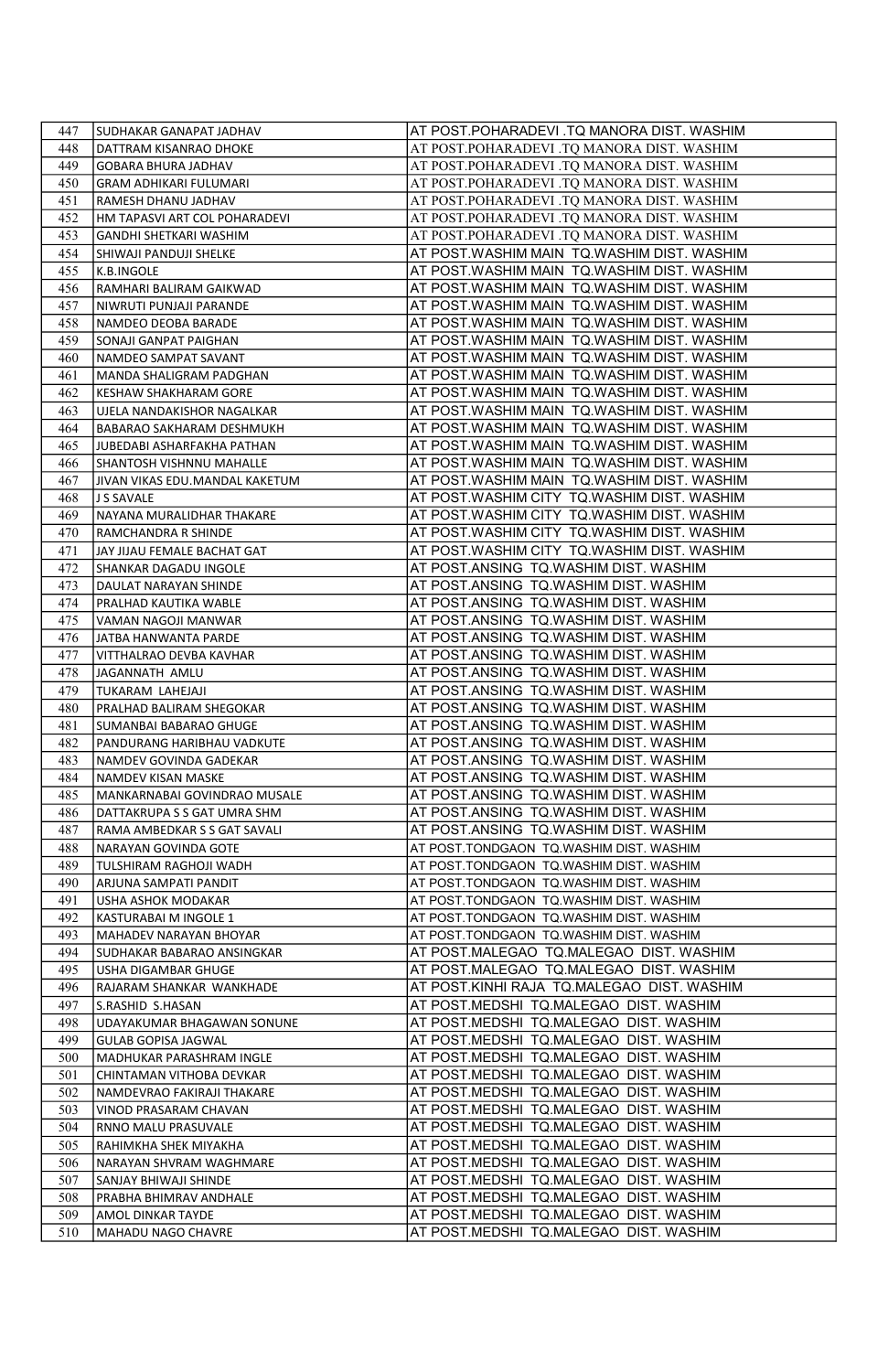| 447        | SUDHAKAR GANAPAT JADHAV                         | AT POST.POHARADEVI .TQ MANORA DIST. WASHIM                                               |
|------------|-------------------------------------------------|------------------------------------------------------------------------------------------|
| 448        | DATTRAM KISANRAO DHOKE                          | AT POST.POHARADEVI .TQ MANORA DIST. WASHIM                                               |
| 449        | <b>GOBARA BHURA JADHAV</b>                      | AT POST.POHARADEVI .TQ MANORA DIST. WASHIM                                               |
| 450        | GRAM ADHIKARI FULUMARI                          | AT POST.POHARADEVI .TQ MANORA DIST. WASHIM                                               |
| 451        | RAMESH DHANU JADHAV                             | AT POST.POHARADEVI .TQ MANORA DIST. WASHIM                                               |
| 452        | HM TAPASVI ART COL POHARADEVI                   | AT POST.POHARADEVI .TQ MANORA DIST. WASHIM                                               |
| 453        | GANDHI SHETKARI WASHIM                          | AT POST.POHARADEVI .TQ MANORA DIST. WASHIM                                               |
| 454        | SHIWAJI PANDUJI SHELKE                          | AT POST.WASHIM MAIN TQ.WASHIM DIST. WASHIM                                               |
| 455        | K.B.INGOLE                                      | AT POST.WASHIM MAIN TQ.WASHIM DIST. WASHIM                                               |
| 456        | RAMHARI BALIRAM GAIKWAD                         | AT POST.WASHIM MAIN TQ.WASHIM DIST. WASHIM                                               |
| 457        | NIWRUTI PUNJAJI PARANDE                         | AT POST.WASHIM MAIN TQ.WASHIM DIST. WASHIM                                               |
| 458        | NAMDEO DEOBA BARADE                             | AT POST.WASHIM MAIN TO.WASHIM DIST. WASHIM                                               |
| 459        | SONAJI GANPAT PAIGHAN                           | AT POST.WASHIM MAIN TQ.WASHIM DIST. WASHIM                                               |
| 460        | NAMDEO SAMPAT SAVANT                            | AT POST.WASHIM MAIN TQ.WASHIM DIST. WASHIM                                               |
| 461        | MANDA SHALIGRAM PADGHAN                         | AT POST.WASHIM MAIN TQ.WASHIM DIST. WASHIM                                               |
| 462        | KESHAW SHAKHARAM GORE                           | AT POST.WASHIM MAIN TQ.WASHIM DIST. WASHIM                                               |
| 463        | UJELA NANDAKISHOR NAGALKAR                      | AT POST.WASHIM MAIN TQ.WASHIM DIST. WASHIM                                               |
| 464        | BABARAO SAKHARAM DESHMUKH                       | AT POST.WASHIM MAIN TQ.WASHIM DIST. WASHIM                                               |
| 465<br>466 | JUBEDABI ASHARFAKHA PATHAN                      | AT POST.WASHIM MAIN TQ.WASHIM DIST. WASHIM<br>AT POST.WASHIM MAIN TQ.WASHIM DIST. WASHIM |
|            | SHANTOSH VISHNNU MAHALLE                        |                                                                                          |
| 467<br>468 | JIVAN VIKAS EDU.MANDAL KAKETUM                  | AT POST.WASHIM MAIN TQ.WASHIM DIST. WASHIM<br>AT POST.WASHIM CITY TQ.WASHIM DIST. WASHIM |
| 469        | J S SAVALE<br>NAYANA MURALIDHAR THAKARE         | AT POST.WASHIM CITY TQ.WASHIM DIST. WASHIM                                               |
| 470        | RAMCHANDRA R SHINDE                             | AT POST.WASHIM CITY TQ.WASHIM DIST. WASHIM                                               |
| 471        | JAY JIJAU FEMALE BACHAT GAT                     | AT POST.WASHIM CITY TQ.WASHIM DIST. WASHIM                                               |
| 472        | SHANKAR DAGADU INGOLE                           | AT POST.ANSING TQ.WASHIM DIST. WASHIM                                                    |
| 473        | DAULAT NARAYAN SHINDE                           | AT POST.ANSING TQ.WASHIM DIST. WASHIM                                                    |
| 474        | PRALHAD KAUTIKA WABLE                           | AT POST.ANSING TQ.WASHIM DIST. WASHIM                                                    |
| 475        | VAMAN NAGOJI MANWAR                             | AT POST.ANSING TQ.WASHIM DIST. WASHIM                                                    |
| 476        | JATBA HANWANTA PARDE                            | AT POST.ANSING TQ.WASHIM DIST. WASHIM                                                    |
| 477        | VITTHALRAO DEVBA KAVHAR                         | AT POST.ANSING TQ.WASHIM DIST. WASHIM                                                    |
| 478        | JAGANNATH AMLU                                  | AT POST.ANSING TQ.WASHIM DIST. WASHIM                                                    |
| 479        | TUKARAM LAHEJAJI                                | AT POST.ANSING TQ.WASHIM DIST. WASHIM                                                    |
| 480        | PRALHAD BALIRAM SHEGOKAR                        | AT POST.ANSING TQ.WASHIM DIST. WASHIM                                                    |
| 481        | SUMANBAI BABARAO GHUGE                          | AT POST.ANSING TQ.WASHIM DIST. WASHIM                                                    |
| 482        | PANDURANG HARIBHAU VADKUTE                      | AT POST.ANSING TQ.WASHIM DIST. WASHIM                                                    |
| 483        | NAMDEV GOVINDA GADEKAR                          | AT POST.ANSING TQ.WASHIM DIST. WASHIM                                                    |
| 484        | NAMDEV KISAN MASKE                              | AT POST.ANSING TQ.WASHIM DIST. WASHIM                                                    |
| 485        | MANKARNABAI GOVINDRAO MUSALE                    | AT POST.ANSING TQ.WASHIM DIST. WASHIM                                                    |
| 486        | DATTAKRUPA S S GAT UMRA SHM                     | AT POST.ANSING TQ.WASHIM DIST. WASHIM                                                    |
| 487        | RAMA AMBEDKAR S S GAT SAVALI                    | AT POST.ANSING TQ.WASHIM DIST. WASHIM                                                    |
| 488        | NARAYAN GOVINDA GOTE                            | AT POST.TONDGAON TQ.WASHIM DIST. WASHIM                                                  |
| 489        | TULSHIRAM RAGHOJI WADH                          | AT POST.TONDGAON TQ.WASHIM DIST. WASHIM                                                  |
| 490        | ARJUNA SAMPATI PANDIT                           | AT POST.TONDGAON TQ.WASHIM DIST. WASHIM                                                  |
| 491        | USHA ASHOK MODAKAR                              | AT POST.TONDGAON TQ.WASHIM DIST. WASHIM                                                  |
| 492        | KASTURABAI M INGOLE 1                           | AT POST.TONDGAON TQ.WASHIM DIST. WASHIM                                                  |
| 493<br>494 | MAHADEV NARAYAN BHOYAR                          | AT POST.TONDGAON TQ.WASHIM DIST. WASHIM                                                  |
|            | SUDHAKAR BABARAO ANSINGKAR                      | AT POST.MALEGAO TQ.MALEGAO DIST. WASHIM                                                  |
| 495<br>496 | USHA DIGAMBAR GHUGE<br>RAJARAM SHANKAR WANKHADE | AT POST.MALEGAO TQ.MALEGAO DIST. WASHIM<br>AT POST.KINHI RAJA TQ.MALEGAO DIST. WASHIM    |
| 497        | S.RASHID S.HASAN                                | AT POST.MEDSHI TQ.MALEGAO DIST. WASHIM                                                   |
| 498        | UDAYAKUMAR BHAGAWAN SONUNE                      | AT POST.MEDSHI TQ.MALEGAO DIST. WASHIM                                                   |
| 499        | <b>GULAB GOPISA JAGWAL</b>                      | AT POST.MEDSHI TQ.MALEGAO DIST. WASHIM                                                   |
| 500        | MADHUKAR PARASHRAM INGLE                        | AT POST.MEDSHI TQ.MALEGAO DIST. WASHIM                                                   |
| 501        | CHINTAMAN VITHOBA DEVKAR                        | AT POST.MEDSHI TQ.MALEGAO DIST. WASHIM                                                   |
| 502        | NAMDEVRAO FAKIRAJI THAKARE                      | AT POST.MEDSHI TQ.MALEGAO DIST. WASHIM                                                   |
| 503        | VINOD PRASARAM CHAVAN                           | AT POST.MEDSHI TQ.MALEGAO DIST. WASHIM                                                   |
| 504        | RNNO MALU PRASUVALE                             | AT POST.MEDSHI TQ.MALEGAO DIST. WASHIM                                                   |
| 505        | RAHIMKHA SHEK MIYAKHA                           | AT POST.MEDSHI TQ.MALEGAO DIST. WASHIM                                                   |
| 506        | NARAYAN SHVRAM WAGHMARE                         | AT POST.MEDSHI TQ.MALEGAO DIST. WASHIM                                                   |
| 507        | SANJAY BHIWAJI SHINDE                           | AT POST.MEDSHI TQ.MALEGAO DIST. WASHIM                                                   |
| 508        | PRABHA BHIMRAV ANDHALE                          | AT POST.MEDSHI TQ.MALEGAO DIST. WASHIM                                                   |
| 509        | AMOL DINKAR TAYDE                               | AT POST.MEDSHI TQ.MALEGAO DIST. WASHIM                                                   |
| 510        | MAHADU NAGO CHAVRE                              | AT POST.MEDSHI TQ.MALEGAO DIST. WASHIM                                                   |